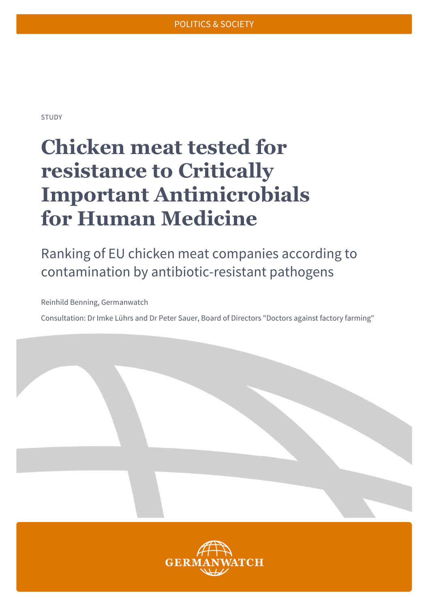STUDY

# **Chicken meat tested for resistance to Critically Important Antimicrobials for Human Medicine**

Ranking of EU chicken meat companies according to contamination by antibiotic-resistant pathogens

Reinhild Benning, Germanwatch

Consultation: Dr Imke Lührs and Dr Peter Sauer, Board of Directors "Doctors against factory farming"

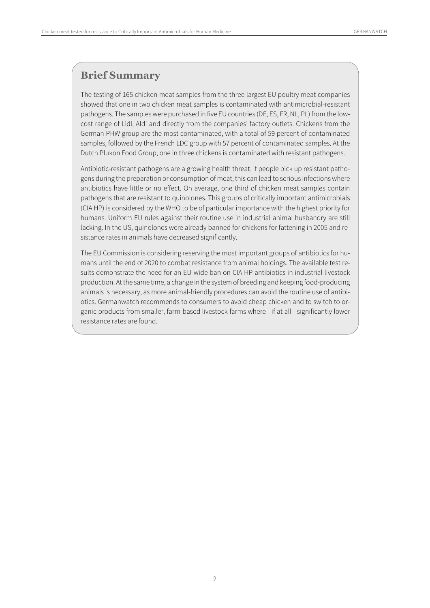### **Brief Summary**

The testing of 165 chicken meat samples from the three largest EU poultry meat companies showed that one in two chicken meat samples is contaminated with antimicrobial-resistant pathogens. The samples were purchased in five EU countries (DE, ES, FR, NL, PL) from the lowcost range of Lidl, Aldi and directly from the companies' factory outlets. Chickens from the German PHW group are the most contaminated, with a total of 59 percent of contaminated samples, followed by the French LDC group with 57 percent of contaminated samples. At the Dutch Plukon Food Group, one in three chickens is contaminated with resistant pathogens.

Antibiotic-resistant pathogens are a growing health threat. If people pick up resistant pathogens during the preparation or consumption of meat, this can lead to serious infections where antibiotics have little or no effect. On average, one third of chicken meat samples contain pathogens that are resistant to quinolones. This groups of critically important antimicrobials (CIA HP) is considered by the WHO to be of particular importance with the highest priority for humans. Uniform EU rules against their routine use in industrial animal husbandry are still lacking. In the US, quinolones were already banned for chickens for fattening in 2005 and resistance rates in animals have decreased significantly.

The EU Commission is considering reserving the most important groups of antibiotics for humans until the end of 2020 to combat resistance from animal holdings. The available test results demonstrate the need for an EU-wide ban on CIA HP antibiotics in industrial livestock production. At the same time, a change in the system of breeding and keeping food-producing animals is necessary, as more animal-friendly procedures can avoid the routine use of antibiotics. Germanwatch recommends to consumers to avoid cheap chicken and to switch to organic products from smaller, farm-based livestock farms where - if at all - significantly lower resistance rates are found.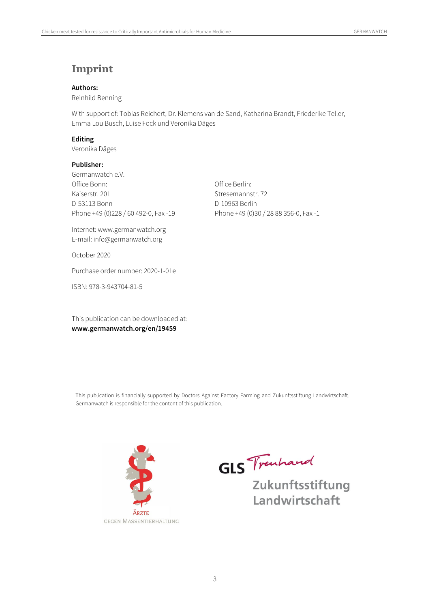### **Imprint**

#### **Authors:**

Reinhild Benning

With support of: Tobias Reichert, Dr. Klemens van de Sand, Katharina Brandt, Friederike Teller, Emma Lou Busch, Luise Fock und Veronika Däges

#### **Editing**

Veronika Däges

#### **Publisher:**

Germanwatch e.V. Office Bonn: Office Berlin: Kaiserstr. 201 Stresemannstr. 72 D-53113 Bonn D-10963 Berlin Phone +49 (0)228 / 60 492-0, Fax -19 Phone +49 (0)30 / 28 88 356-0, Fax -1

Internet: www.germanwatch.org E-mail: info@germanwatch.org

October 2020

Purchase order number: 2020-1-01e

ISBN: 978-3-943704-81-5

This publication can be downloaded at: **www.germanwatch.org/en/19459** 

This publication is financially supported by Doctors Against Factory Farming and Zukunftsstiftung Landwirtschaft. Germanwatch is responsible for the content of this publication.



**GLS** Trachand

Zukunftsstiftung Landwirtschaft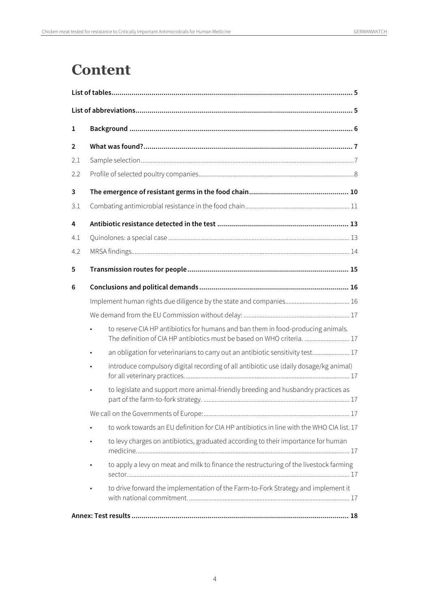## **Content**

| $\mathbf{1}$ |                                                                                                                                                             |  |
|--------------|-------------------------------------------------------------------------------------------------------------------------------------------------------------|--|
| 2            |                                                                                                                                                             |  |
| 2.1          |                                                                                                                                                             |  |
| 2.2          |                                                                                                                                                             |  |
| 3            |                                                                                                                                                             |  |
| 3.1          |                                                                                                                                                             |  |
| 4            |                                                                                                                                                             |  |
| 4.1          |                                                                                                                                                             |  |
| 4.2          |                                                                                                                                                             |  |
| 5            |                                                                                                                                                             |  |
| 6            |                                                                                                                                                             |  |
|              |                                                                                                                                                             |  |
|              |                                                                                                                                                             |  |
|              | to reserve CIA HP antibiotics for humans and ban them in food-producing animals.<br>The definition of CIA HP antibiotics must be based on WHO criteria.  17 |  |
|              | an obligation for veterinarians to carry out an antibiotic sensitivity test 17                                                                              |  |
|              | introduce compulsory digital recording of all antibiotic use (daily dosage/kg animal)                                                                       |  |
|              | to legislate and support more animal-friendly breeding and husbandry practices as                                                                           |  |
|              |                                                                                                                                                             |  |
|              | to work towards an EU definition for CIA HP antibiotics in line with the WHO CIA list. 17                                                                   |  |
|              | to levy charges on antibiotics, graduated according to their importance for human                                                                           |  |
|              | to apply a levy on meat and milk to finance the restructuring of the livestock farming                                                                      |  |
|              | to drive forward the implementation of the Farm-to-Fork Strategy and implement it                                                                           |  |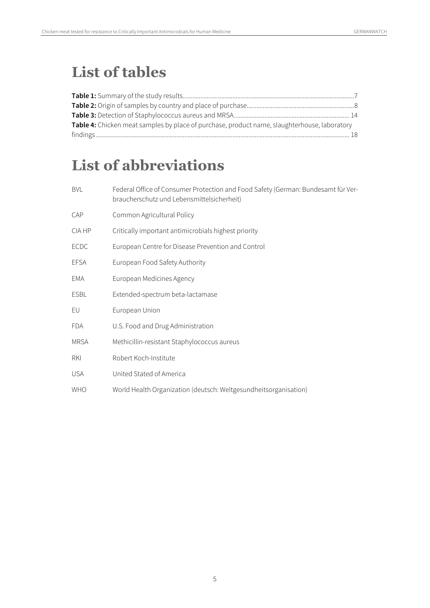## **List of tables**

| Table 4: Chicken meat samples by place of purchase, product name, slaughterhouse, laboratory |  |
|----------------------------------------------------------------------------------------------|--|
|                                                                                              |  |

## **List of abbreviations**

| <b>BVL</b>  | Federal Office of Consumer Protection and Food Safety (German: Bundesamt für Ver-<br>braucherschutz und Lebensmittelsicherheit) |
|-------------|---------------------------------------------------------------------------------------------------------------------------------|
| CAP         | Common Agricultural Policy                                                                                                      |
| CIA HP      | Critically important antimicrobials highest priority                                                                            |
| ECDC        | European Centre for Disease Prevention and Control                                                                              |
| <b>EFSA</b> | European Food Safety Authority                                                                                                  |
| EMA         | European Medicines Agency                                                                                                       |
| <b>ESBL</b> | Extended-spectrum beta-lactamase                                                                                                |
| EU          | European Union                                                                                                                  |
| <b>FDA</b>  | U.S. Food and Drug Administration                                                                                               |
| <b>MRSA</b> | Methicillin-resistant Staphylococcus aureus                                                                                     |
| RKI         | Robert Koch-Institute                                                                                                           |
| <b>USA</b>  | United Stated of America                                                                                                        |
| <b>WHO</b>  | World Health Organization (deutsch: Weltgesundheitsorganisation)                                                                |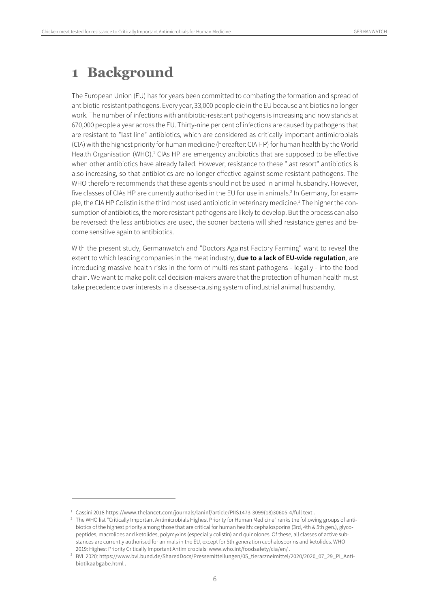### **1 Background**

The European Union (EU) has for years been committed to combating the formation and spread of antibiotic-resistant pathogens. Every year, 33,000 people die in the EU because antibiotics no longer work. The number of infections with antibiotic-resistant pathogens is increasing and now stands at 670,000 people a year across the EU. Thirty-nine per cent of infections are caused by pathogens that are resistant to "last line" antibiotics, which are considered as critically important antimicrobials (CIA) with the highest priority for human medicine (hereafter: CIA HP) for human health by the World Health Organisation (WHO).<sup>1</sup> CIAs HP are emergency antibiotics that are supposed to be effective when other antibiotics have already failed. However, resistance to these "last resort" antibiotics is also increasing, so that antibiotics are no longer effective against some resistant pathogens. The WHO therefore recommends that these agents should not be used in animal husbandry. However, five classes of CIAs HP are currently authorised in the EU for use in animals.<sup>2</sup> In Germany, for example, the CIA HP Colistin is the third most used antibiotic in veterinary medicine.<sup>3</sup> The higher the consumption of antibiotics, the more resistant pathogens are likely to develop. But the process can also be reversed: the less antibiotics are used, the sooner bacteria will shed resistance genes and become sensitive again to antibiotics.

With the present study, Germanwatch and "Doctors Against Factory Farming" want to reveal the extent to which leading companies in the meat industry, **due to a lack of EU-wide regulation**, are introducing massive health risks in the form of multi-resistant pathogens - legally - into the food chain. We want to make political decision-makers aware that the protection of human health must take precedence over interests in a disease-causing system of industrial animal husbandry.

<sup>&</sup>lt;sup>1</sup> Cassini 2018 https://www.thelancet.com/journals/laninf/article/PIIS1473-3099(18)30605-4/full text.

<sup>&</sup>lt;sup>2</sup> The WHO list "Critically Important Antimicrobials Highest Priority for Human Medicine" ranks the following groups of antibiotics of the highest priority among those that are critical for human health: cephalosporins (3rd, 4th & 5th gen.), glycopeptides, macrolides and ketolides, polymyxins (especially colistin) and quinolones. Of these, all classes of active substances are currently authorised for animals in the EU, except for 5th generation cephalosporins and ketolides. WHO

<sup>2019:</sup> Highest Priority Critically Important Antimicrobials: www.who.int/foodsafety/cia/en/ . 3 BVL 2020: https://www.bvl.bund.de/SharedDocs/Pressemitteilungen/05\_tierarzneimittel/2020/2020\_07\_29\_PI\_Antibiotikaabgabe.html .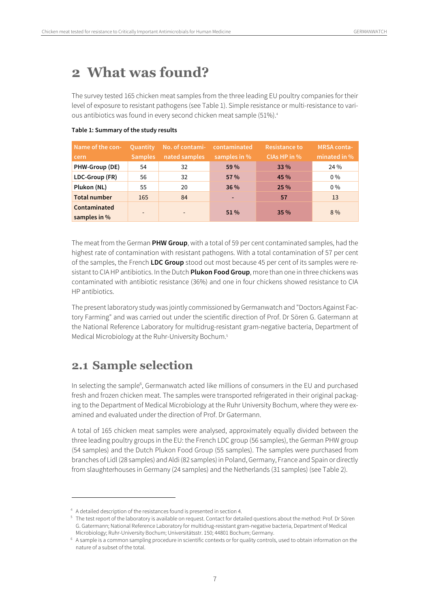## **2 What was found?**

The survey tested 165 chicken meat samples from the three leading EU poultry companies for their level of exposure to resistant pathogens (see Table 1). Simple resistance or multi-resistance to various antibiotics was found in every second chicken meat sample (51%).4

| Name of the con-<br>cern     | <b>Quantity</b><br><b>Samples</b> | No. of contami-<br>nated samples | contaminated<br>samples in % | <b>Resistance to</b><br>CIAs HP in % | MRSA conta-<br>minated in % |
|------------------------------|-----------------------------------|----------------------------------|------------------------------|--------------------------------------|-----------------------------|
| PHW-Group (DE)               | 54                                | 32                               | 59 %                         | 33 %                                 | 24 %                        |
| LDC-Group (FR)               | 56                                | 32                               | 57 %                         | 45 %                                 | $0\%$                       |
| Plukon (NL)                  | 55                                | 20                               | 36 %                         | 25 %                                 | $0\%$                       |
| <b>Total number</b>          | 165                               | 84                               |                              | 57                                   | 13                          |
| Contaminated<br>samples in % | $\overline{\phantom{a}}$          | $\overline{\phantom{a}}$         | $51\%$                       | 35%                                  | $8\%$                       |

#### **Table 1: Summary of the study results**

The meat from the German **PHW Group**, with a total of 59 per cent contaminated samples, had the highest rate of contamination with resistant pathogens. With a total contamination of 57 per cent of the samples, the French **LDC Group** stood out most because 45 per cent of its samples were resistant to CIA HP antibiotics. In the Dutch **Plukon Food Group**, more than one in three chickens was contaminated with antibiotic resistance (36%) and one in four chickens showed resistance to CIA HP antibiotics.

The present laboratory study was jointly commissioned by Germanwatch and "Doctors Against Factory Farming" and was carried out under the scientific direction of Prof. Dr Sören G. Gatermann at the National Reference Laboratory for multidrug-resistant gram-negative bacteria, Department of Medical Microbiology at the Ruhr-University Bochum.<sup>5</sup>

### **2.1 Sample selection**

 $\overline{a}$ 

In selecting the sample<sup>6</sup>, Germanwatch acted like millions of consumers in the EU and purchased fresh and frozen chicken meat. The samples were transported refrigerated in their original packaging to the Department of Medical Microbiology at the Ruhr University Bochum, where they were examined and evaluated under the direction of Prof. Dr Gatermann.

A total of 165 chicken meat samples were analysed, approximately equally divided between the three leading poultry groups in the EU: the French LDC group (56 samples), the German PHW group (54 samples) and the Dutch Plukon Food Group (55 samples). The samples were purchased from branches of Lidl (28 samples) and Aldi (82 samples) in Poland, Germany, France and Spain or directly from slaughterhouses in Germany (24 samples) and the Netherlands (31 samples) (see Table 2).

<sup>4</sup> A detailed description of the resistances found is presented in section 4.

<sup>&</sup>lt;sup>5</sup> The test report of the laboratory is available on request. Contact for detailed questions about the method: Prof. Dr Sören G. Gatermann; National Reference Laboratory for multidrug-resistant gram-negative bacteria, Department of Medical

Microbiology; Ruhr-University Bochum; Universitätsstr. 150; 44801 Bochum; Germany. 6 A sample is a common sampling procedure in scientific contexts or for quality controls, used to obtain information on the nature of a subset of the total.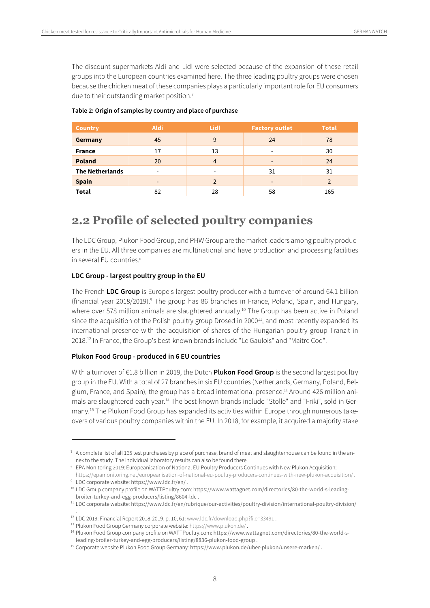The discount supermarkets Aldi and Lidl were selected because of the expansion of these retail groups into the European countries examined here. The three leading poultry groups were chosen because the chicken meat of these companies plays a particularly important role for EU consumers due to their outstanding market position.<sup>7</sup>

| <b>Country</b>         | <b>Aldi</b>              | <b>Lidl</b>              | <b>Factory outlet</b>        | <b>Total</b> |
|------------------------|--------------------------|--------------------------|------------------------------|--------------|
| Germany                | 45                       | 9                        | 24                           | 78           |
| <b>France</b>          | 17                       | 13                       | $\overline{\phantom{a}}$     | 30           |
| <b>Poland</b>          | 20                       | 4                        | $\qquad \qquad \blacksquare$ | 24           |
| <b>The Netherlands</b> | $\overline{\phantom{a}}$ | $\overline{\phantom{a}}$ | 31                           | 31           |
| <b>Spain</b>           | $\overline{\phantom{a}}$ | $\mathfrak{p}$           | $\overline{\phantom{a}}$     |              |
| <b>Total</b>           | 82                       | 28                       | 58                           | 165          |

#### **Table 2: Origin of samples by country and place of purchase**

### **2.2 Profile of selected poultry companies**

The LDC Group, Plukon Food Group, and PHW Group are the market leaders among poultry producers in the EU. All three companies are multinational and have production and processing facilities in several EU countries.<sup>8</sup>

#### **LDC Group - largest poultry group in the EU**

The French **LDC Group** is Europe's largest poultry producer with a turnover of around €4.1 billion (financial year 2018/2019).<sup>9</sup> The group has 86 branches in France, Poland, Spain, and Hungary, where over 578 million animals are slaughtered annually.<sup>10</sup> The Group has been active in Poland since the acquisition of the Polish poultry group Drosed in  $2000<sup>11</sup>$ , and most recently expanded its international presence with the acquisition of shares of the Hungarian poultry group Tranzit in 2018.12 In France, the Group's best-known brands include "Le Gaulois" and "Maitre Coq".

#### **Plukon Food Group - produced in 6 EU countries**

 $\overline{a}$ 

With a turnover of €1.8 billion in 2019, the Dutch **Plukon Food Group** is the second largest poultry group in the EU. With a total of 27 branches in six EU countries (Netherlands, Germany, Poland, Belgium, France, and Spain), the group has a broad international presence.13 Around 426 million animals are slaughtered each year.14 The best-known brands include "Stolle" and "Friki", sold in Germany.15 The Plukon Food Group has expanded its activities within Europe through numerous takeovers of various poultry companies within the EU. In 2018, for example, it acquired a majority stake

 $7$  A complete list of all 165 test purchases by place of purchase, brand of meat and slaughterhouse can be found in the an-

nex to the study. The individual laboratory results can also be found there.<br><sup>8</sup> EPA Monitoring 2019: Europeanisation of National EU Poultry Producers Continues with New Plukon Acquisition:

https://epamonitoring.net/europeanisation-of-national-eu-poultry-producers-continues-with-new-plukon-acquisition/.<br><sup>9</sup> LDC corporate website: https://www.ldc.fr/en/ .<br><sup>10</sup> LDC Group company profile on WATTPoultry.com: http

broiler-turkey-and-egg-producers/listing/8604-ldc .

<sup>11</sup> LDC corporate website: https://www.ldc.fr/en/rubrique/our-activities/poultry-division/international-poultry-division/ .

<sup>&</sup>lt;sup>12</sup> LDC 2019: Financial Report 2018-2019, p. 10, 61: www.ldc.fr/download.php?file=33491.

<sup>&</sup>lt;sup>13</sup> Plukon Food Group Germany corporate website: https://www.plukon.de/<br><sup>14</sup> Plukon Food Group company profile on WATTPoultry.com: https://www.wattagnet.com/directories/80-the-world-sleading-broiler-turkey-and-egg-producers/listing/8836-plukon-food-group .

<sup>&</sup>lt;sup>15</sup> Corporate website Plukon Food Group Germany: https://www.plukon.de/uber-plukon/unsere-marken/.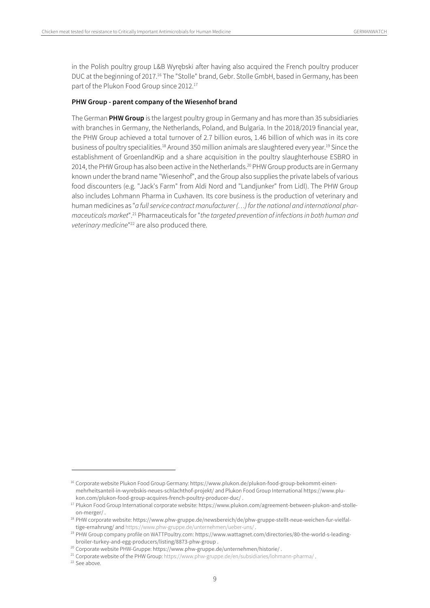in the Polish poultry group L&B Wyrębski after having also acquired the French poultry producer DUC at the beginning of 2017.<sup>16</sup> The "Stolle" brand, Gebr. Stolle GmbH, based in Germany, has been part of the Plukon Food Group since 2012.<sup>17</sup>

#### **PHW Group - parent company of the Wiesenhof brand**

The German **PHW Group** is the largest poultry group in Germany and has more than 35 subsidiaries with branches in Germany, the Netherlands, Poland, and Bulgaria. In the 2018/2019 financial year, the PHW Group achieved a total turnover of 2.7 billion euros, 1.46 billion of which was in its core business of poultry specialities.18 Around 350 million animals are slaughtered every year.19 Since the establishment of GroenlandKip and a share acquisition in the poultry slaughterhouse ESBRO in 2014, the PHW Group has also been active in the Netherlands.<sup>20</sup> PHW Group products are in Germany known under the brand name "Wiesenhof", and the Group also supplies the private labels of various food discounters (e.g. "Jack's Farm" from Aldi Nord and "Landjunker" from Lidl). The PHW Group also includes Lohmann Pharma in Cuxhaven. Its core business is the production of veterinary and human medicines as "a full service contract manufacturer (...) for the national and international pharmaceuticals market".<sup>21</sup> Pharmaceuticals for "the targeted prevention of infections in both human and veterinary medicine"<sup>22</sup> are also produced there.

<sup>&</sup>lt;sup>16</sup> Corporate website Plukon Food Group Germany: https://www.plukon.de/plukon-food-group-bekommt-einenmehrheitsanteil-in-wyrebskis-neues-schlachthof-projekt/ and Plukon Food Group International https://www.plukon.com/plukon-food-group-acquires-french-poultry-producer-duc/ .

<sup>17</sup> Plukon Food Group International corporate website: https://www.plukon.com/agreement-between-plukon-and-stolleon-merger/ .

<sup>18</sup> PHW corporate website: https://www.phw-gruppe.de/newsbereich/de/phw-gruppe-stellt-neue-weichen-fur-vielfal-

tige-ernahrung/ and https://www.phw-gruppe.de/unternehmen/ueber-uns/ .<br><sup>19</sup> PHW Group company profile on WATTPoultry.com: https://www.wattagnet.com/directories/80-the-world-s-leadingbroiler-turkey-and-egg-producers/listing/8873-phw-group .

<sup>&</sup>lt;sup>20</sup> Corporate website PHW-Gruppe: https://www.phw-gruppe.de/unternehmen/historie/ .<br><sup>21</sup> Corporate website of the PHW Group: https://www.phw-gruppe.de/en/subsidiaries/lohmann-pharma/ .<br><sup>22</sup> See above.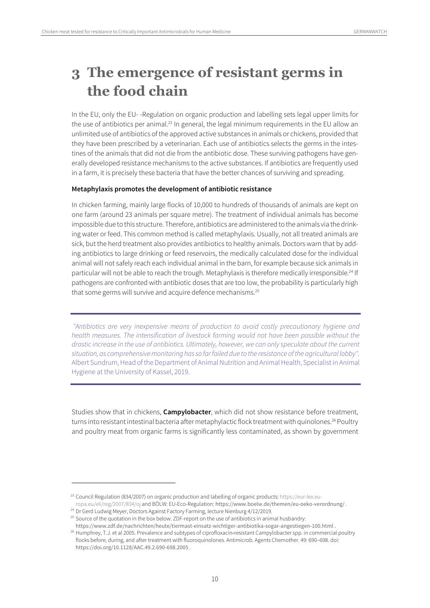## **3 The emergence of resistant germs in the food chain**

In the EU, only the EU- -Regulation on organic production and labelling sets legal upper limits for the use of antibiotics per animal.<sup>23</sup> In general, the legal minimum requirements in the EU allow an unlimited use of antibiotics of the approved active substances in animals or chickens, provided that they have been prescribed by a veterinarian. Each use of antibiotics selects the germs in the intestines of the animals that did not die from the antibiotic dose. These surviving pathogens have generally developed resistance mechanisms to the active substances. If antibiotics are frequently used in a farm, it is precisely these bacteria that have the better chances of surviving and spreading.

#### **Metaphylaxis promotes the development of antibiotic resistance**

In chicken farming, mainly large flocks of 10,000 to hundreds of thousands of animals are kept on one farm (around 23 animals per square metre). The treatment of individual animals has become impossible due to this structure. Therefore, antibiotics are administered to the animals via the drinking water or feed. This common method is called metaphylaxis. Usually, not all treated animals are sick, but the herd treatment also provides antibiotics to healthy animals. Doctors warn that by adding antibiotics to large drinking or feed reservoirs, the medically calculated dose for the individual animal will not safely reach each individual animal in the barn, for example because sick animals in particular will not be able to reach the trough. Metaphylaxis is therefore medically irresponsible.<sup>24</sup> If pathogens are confronted with antibiotic doses that are too low, the probability is particularly high that some germs will survive and acquire defence mechanisms.<sup>25</sup>

 "Antibiotics are very inexpensive means of production to avoid costly precautionary hygiene and health measures. The intensification of livestock farming would not have been possible without the drastic increase in the use of antibiotics. Ultimately, however, we can only speculate about the current situation, as comprehensive monitoring has so far failed due to the resistance of the agricultural lobby". Albert Sundrum, Head of the Department of Animal Nutrition and Animal Health, Specialist in Animal Hygiene at the University of Kassel, 2019.

Studies show that in chickens, **Campylobacter**, which did not show resistance before treatment, turns into resistant intestinal bacteria after metaphylactic flock treatment with quinolones.<sup>26</sup> Poultry and poultry meat from organic farms is significantly less contaminated, as shown by government

<sup>23</sup> Council Regulation (834/2007) on organic production and labelling of organic products: https://eur-lex.europa.eu/eli/reg/2007/834/oj and BÖLW: EU-Eco-Regulation: https://www.boelw.de/themen/eu-oeko-verordnung/.<br><sup>24</sup> Dr Gerd Ludwig Meyer, Doctors Against Factory Farming, lecture Nienburg 4/12/2019.

<sup>&</sup>lt;sup>25</sup> Source of the quotation in the box below: ZDF-report on the use of antibiotics in animal husbandry: https://www.zdf.de/nachrichten/heute/tiermast-einsatz-wichtiger-antibiotika-sogar-angestiegen-100.html .

<sup>&</sup>lt;sup>26</sup> Humphrey, T.J. et al 2005. Prevalence and subtypes of ciprofloxacin-resistant Campylobacter spp. in commercial poultry flocks before, during, and after treatment with fluoroquinolones. Antimicrob. Agents Chemother. 49: 690–698. doi: https://doi.org/10.1128/AAC.49.2.690-698.2005 .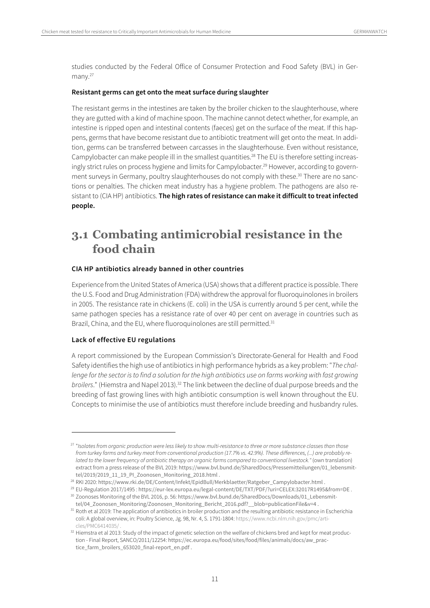studies conducted by the Federal Office of Consumer Protection and Food Safety (BVL) in Germany.<sup>27</sup>

#### **Resistant germs can get onto the meat surface during slaughter**

The resistant germs in the intestines are taken by the broiler chicken to the slaughterhouse, where they are gutted with a kind of machine spoon. The machine cannot detect whether, for example, an intestine is ripped open and intestinal contents (faeces) get on the surface of the meat. If this happens, germs that have become resistant due to antibiotic treatment will get onto the meat. In addition, germs can be transferred between carcasses in the slaughterhouse. Even without resistance, Campylobacter can make people ill in the smallest quantities.<sup>28</sup> The EU is therefore setting increasingly strict rules on process hygiene and limits for Campylobacter.<sup>29</sup> However, according to government surveys in Germany, poultry slaughterhouses do not comply with these.<sup>30</sup> There are no sanctions or penalties. The chicken meat industry has a hygiene problem. The pathogens are also resistant to (CIA HP) antibiotics. **The high rates of resistance can make it difficult to treat infected people.** 

### **3.1 Combating antimicrobial resistance in the food chain**

#### **CIA HP antibiotics already banned in other countries**

Experience from the United States of America (USA) shows that a different practice is possible. There the U.S. Food and Drug Administration (FDA) withdrew the approval for fluoroquinolones in broilers in 2005. The resistance rate in chickens (E. coli) in the USA is currently around 5 per cent, while the same pathogen species has a resistance rate of over 40 per cent on average in countries such as Brazil, China, and the EU, where fluoroquinolones are still permitted.<sup>31</sup>

#### **Lack of effective EU regulations**

 $\overline{a}$ 

A report commissioned by the European Commission's Directorate-General for Health and Food Safety identifies the high use of antibiotics in high performance hybrids as a key problem: "The challenge for the sector is to find a solution for the high antibiotics use on farms working with fast growing broilers." (Hiemstra and Napel 2013).<sup>32</sup> The link between the decline of dual purpose breeds and the breeding of fast growing lines with high antibiotic consumption is well known throughout the EU. Concepts to minimise the use of antibiotics must therefore include breeding and husbandry rules.

<sup>&</sup>lt;sup>27</sup> "Isolates from organic production were less likely to show multi-resistance to three or more substance classes than those from turkey farms and turkey meat from conventional production (17.7% vs. 42.9%). These differences, (...) are probably related to the lower frequency of antibiotic therapy on organic farms compared to conventional livestock." (own translation) extract from a press release of the BVL 2019: https://www.bvl.bund.de/SharedDocs/Pressemitteilungen/01\_lebensmittel/2019/2019\_11\_19\_PI\_Zoonosen\_Monitoring\_2018.html .

<sup>28</sup> RKI 2020: https://www.rki.de/DE/Content/Infekt/EpidBull/Merkblaetter/Ratgeber\_Campylobacter.html .

<sup>&</sup>lt;sup>29</sup> EU-Regulation 2017/1495 : https://eur-lex.europa.eu/legal-content/DE/TXT/PDF/?uri=CELEX:32017R1495&from=DE .<br><sup>30</sup> Zoonoses Monitoring of the BVL 2016, p. 56: https://www.bvl.bund.de/SharedDocs/Downloads/01\_Lebensmit-

tel/04\_Zoonosen\_Monitoring/Zoonosen\_Monitoring\_Bericht\_2016.pdf?\_\_blob=publicationFile&v=4 .

<sup>31</sup> Roth et al 2019: The application of antibiotics in broiler production and the resulting antibiotic resistance in Escherichia coli: A global overview, in: Poultry Science, Jg. 98, Nr. 4, S. 1791-1804: https://www.ncbi.nlm.nih.gov/pmc/articles/PMC6414035/ .

<sup>32</sup> Hiemstra et al 2013: Study of the impact of genetic selection on the welfare of chickens bred and kept for meat production - Final Report, SANCO/2011/12254: https://ec.europa.eu/food/sites/food/files/animals/docs/aw\_practice\_farm\_broilers\_653020\_final-report\_en.pdf .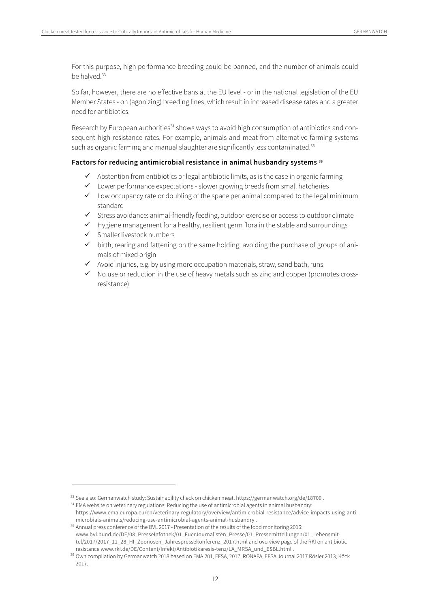For this purpose, high performance breeding could be banned, and the number of animals could be halved.<sup>33</sup>

So far, however, there are no effective bans at the EU level - or in the national legislation of the EU Member States - on (agonizing) breeding lines, which result in increased disease rates and a greater need for antibiotics.

Research by European authorities<sup>34</sup> shows ways to avoid high consumption of antibiotics and consequent high resistance rates. For example, animals and meat from alternative farming systems such as organic farming and manual slaughter are significantly less contaminated.<sup>35</sup>

#### **Factors for reducing antimicrobial resistance in animal husbandry systems 36**

- $\checkmark$  Abstention from antibiotics or legal antibiotic limits, as is the case in organic farming
- $\checkmark$  Lower performance expectations slower growing breeds from small hatcheries
- $\checkmark$  Low occupancy rate or doubling of the space per animal compared to the legal minimum standard
- $\checkmark$  Stress avoidance: animal-friendly feeding, outdoor exercise or access to outdoor climate
- $\checkmark$  Hygiene management for a healthy, resilient germ flora in the stable and surroundings
- $\checkmark$  Smaller livestock numbers

- $\checkmark$  birth, rearing and fattening on the same holding, avoiding the purchase of groups of animals of mixed origin
- $\checkmark$  Avoid injuries, e.g. by using more occupation materials, straw, sand bath, runs
- $\checkmark$  No use or reduction in the use of heavy metals such as zinc and copper (promotes crossresistance)

<sup>33</sup> See also: Germanwatch study: Sustainability check on chicken meat, https://germanwatch.org/de/18709 .

<sup>&</sup>lt;sup>34</sup> EMA website on veterinary regulations: Reducing the use of antimicrobial agents in animal husbandry: https://www.ema.europa.eu/en/veterinary-regulatory/overview/antimicrobial-resistance/advice-impacts-using-antimicrobials-animals/reducing-use-antimicrobial-agents-animal-husbandry .

<sup>&</sup>lt;sup>35</sup> Annual press conference of the BVL 2017 - Presentation of the results of the food monitoring 2016: www.bvl.bund.de/DE/08\_PresseInfothek/01\_FuerJournalisten\_Presse/01\_Pressemitteilungen/01\_Lebensmittel/2017/2017\_11\_28\_HI\_Zoonosen\_Jahrespressekonferenz\_2017.html and overview page of the RKI on antibiotic resistance www.rki.de/DE/Content/Infekt/Antibiotikaresis-tenz/LA\_MRSA\_und\_ESBL.html .

<sup>&</sup>lt;sup>36</sup> Own compilation by Germanwatch 2018 based on EMA 201, EFSA, 2017, RONAFA, EFSA Journal 2017 Rösler 2013, Köck 2017.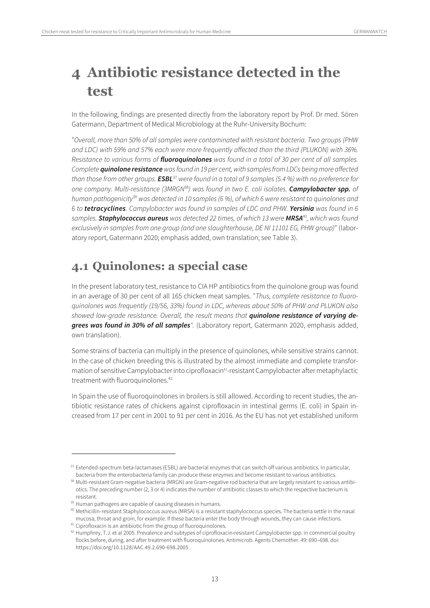## **4 Antibiotic resistance detected in the test**

In the following, findings are presented directly from the laboratory report by Prof. Dr med. Sören Gatermann, Department of Medical Microbiology at the Ruhr-University Bochum:

"Overall, more than 50% of all samples were contaminated with resistant bacteria. Two groups (PHW and LDC) with 59% and 57% each were more frequently affected than the third (PLUKON) with 36%. Resistance to various forms of **fluoroquinolones** was found in a total of 30 per cent of all samples. Complete **quinolone resistance** was found in 19 per cent, with samples from LDCs being more affected than those from other groups. **ESBL**<sup>37</sup> were found in a total of 9 samples (5.4 %) with no preference for one company. Multi-resistance (3MRGN<sup>38</sup>) was found in two E. coli isolates. **Campylobacter spp.** of human pathogenicity<sup>39</sup> was detected in 10 samples (6 %), of which 6 were resistant to quinolones and 6 to **tetracyclines**. Campylobacter was found in samples of LDC and PHW. **Yersinia** was found in 6 samples. **Staphylococcus aureus** was detected 22 times, of which 13 were **MRSA**<sup>40</sup>, which was found exclusively in samples from one group (and one slaughterhouse, DE NI 11101 EG, PHW group)" (laboratory report, Gatermann 2020; emphasis added, own translation; see Table 3).

### **4.1 Quinolones: a special case**

In the present laboratory test, resistance to CIA HP antibiotics from the quinolone group was found in an average of 30 per cent of all 165 chicken meat samples. "Thus, complete resistance to fluoroquinolones was frequently (19/56, 33%) found in LDC, whereas about 50% of PHW and PLUKON also showed low-grade resistance. Overall, the result means that **quinolone resistance of varying degrees was found in 30% of all samples**". (Laboratory report, Gatermann 2020, emphasis added, own translation).

Some strains of bacteria can multiply in the presence of quinolones, while sensitive strains cannot. In the case of chicken breeding this is illustrated by the almost immediate and complete transformation of sensitive Campylobacter into ciprofloxacin<sup>41</sup>-resistant Campylobacter after metaphylactic treatment with fluoroquinolones.<sup>42.</sup>

In Spain the use of fluoroquinolones in broilers is still allowed. According to recent studies, the antibiotic resistance rates of chickens against ciprofloxacin in intestinal germs (E. coli) in Spain increased from 17 per cent in 2001 to 91 per cent in 2016. As the EU has not yet established uniform

<sup>37</sup> Extended-spectrum beta-lactamases (ESBL) are bacterial enzymes that can switch off various antibiotics. In particular, bacteria from the enterobacteria family can produce these enzymes and become resistant to various antibiotics.

<sup>38</sup> Multi-resistant Gram-negative bacteria (MRGN) are Gram-negative rod bacteria that are largely resistant to various antibiotics. The preceding number (2, 3 or 4) indicates the number of antibiotic classes to which the respective bacterium is resistant.<br><sup>39</sup> Human pathogens are capable of causing diseases in humans.

<sup>40</sup> Methicillin-resistant Staphylococcus aureus (MRSA) is a resistant staphylococcus species. The bacteria settle in the nasal mucosa, throat and groin, for example. If these bacteria enter the body through wounds, they can cause infections.<br><sup>41</sup> Ciprofloxacin is an antibiotic from the group of fluoroquinolones.

 $42$  Humphrey, T.J. et al 2005. Prevalence and subtypes of ciprofloxacin-resistant Campylobacter spp. in commercial poultry flocks before, during, and after treatment with fluoroquinolones. Antimicrob. Agents Chemother. 49: 690–698. doi: https://doi.org/10.1128/AAC.49.2.690-698.2005 .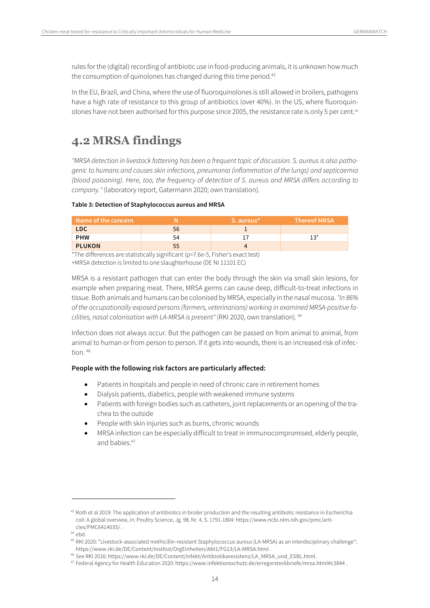rules for the (digital) recording of antibiotic use in food-producing animals, it is unknown how much the consumption of quinolones has changed during this time period.<sup>43</sup>

In the EU, Brazil, and China, where the use of fluoroquinolones is still allowed in broilers, pathogens have a high rate of resistance to this group of antibiotics (over 40%). In the US, where fluoroquinolones have not been authorised for this purpose since 2005, the resistance rate is only 5 per cent.<sup>44</sup>

### **4.2 MRSA findings**

"MRSA detection in livestock fattening has been a frequent topic of discussion. S. aureus is also pathogenic to humans and causes skin infections, pneumonia (inflammation of the lungs) and septicaemia (blood poisoning). Here, too, the frequency of detection of S. aureus and MRSA differs according to company." (laboratory report, Gatermann 2020; own translation).

#### **Table 3: Detection of Staphylococcus aureus and MRSA**

| Name of the concern |    | S. aureus* | ا Thereof MRSA |
|---------------------|----|------------|----------------|
| LDC.                | 56 |            |                |
| <b>PHW</b>          | 54 |            |                |
| <b>PLUKON</b>       | 55 |            |                |
| .                   |    |            |                |

\*The differences are statistically significant (p=7.6e-5, Fisher's exact test)

+MRSA detection is limited to one slaughterhouse (DE NI 11101 EC)

MRSA is a resistant pathogen that can enter the body through the skin via small skin lesions, for example when preparing meat. There, MRSA germs can cause deep, difficult-to-treat infections in tissue. Both animals and humans can be colonised by MRSA, especially in the nasal mucosa. "In 86% of the occupationally exposed persons (farmers, veterinarians) working in examined MRSA-positive facilities, nasal colonisation with LA-MRSA is present" (RKI 2020, own translation). <sup>45</sup>

Infection does not always occur. But the pathogen can be passed on from animal to animal, from animal to human or from person to person. If it gets into wounds, there is an increased risk of infection. 46

#### **People with the following risk factors are particularly affected:**

- Patients in hospitals and people in need of chronic care in retirement homes
- Dialysis patients, diabetics, people with weakened immune systems
- Patients with foreign bodies such as catheters, joint replacements or an opening of the trachea to the outside
- People with skin injuries such as burns, chronic wounds
- MRSA infection can be especially difficult to treat in immunocompromised, elderly people, and habies<sup>47</sup>

<sup>&</sup>lt;sup>43</sup> Roth et al 2019: The application of antibiotics in broiler production and the resulting antibiotic resistance in Escherichia coli: A global overview, in: Poultry Science, Jg. 98, Nr. 4, S. 1791-1804: https://www.ncbi.nlm.nih.gov/pmc/articles/PMC6414035/ .

 $44$  ebd.

<sup>45</sup> RKI 2020: "Livestock-associated methicillin-resistant Staphylococcus aureus (LA-MRSA) as an interdisciplinary challenge": https://www.rki.de/DE/Content/Institut/OrgEinheiten/Abt1/FG13/LA-MRSA.html .

<sup>46</sup> See RKI 2016: https://www.rki.de/DE/Content/Infekt/Antibiotikaresistenz/LA\_MRSA\_und\_ESBL.html .

<sup>47</sup> Federal Agency for Health Education 2020: https://www.infektionsschutz.de/erregersteckbriefe/mrsa.html#c3844 .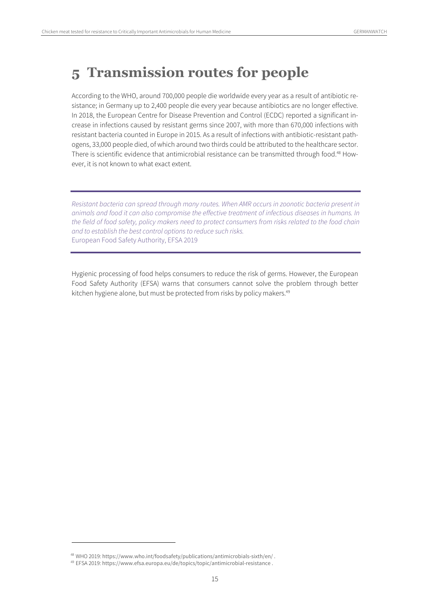### **5 Transmission routes for people**

According to the WHO, around 700,000 people die worldwide every year as a result of antibiotic resistance; in Germany up to 2,400 people die every year because antibiotics are no longer effective. In 2018, the European Centre for Disease Prevention and Control (ECDC) reported a significant increase in infections caused by resistant germs since 2007, with more than 670,000 infections with resistant bacteria counted in Europe in 2015. As a result of infections with antibiotic-resistant pathogens, 33,000 people died, of which around two thirds could be attributed to the healthcare sector. There is scientific evidence that antimicrobial resistance can be transmitted through food.<sup>48</sup> However, it is not known to what exact extent.

Resistant bacteria can spread through many routes. When AMR occurs in zoonotic bacteria present in animals and food it can also compromise the effective treatment of infectious diseases in humans. In the field of food safety, policy makers need to protect consumers from risks related to the food chain and to establish the best control options to reduce such risks. European Food Safety Authority, EFSA 2019

Hygienic processing of food helps consumers to reduce the risk of germs. However, the European Food Safety Authority (EFSA) warns that consumers cannot solve the problem through better kitchen hygiene alone, but must be protected from risks by policy makers.<sup>49</sup>

<sup>48</sup> WHO 2019: https://www.who.int/foodsafety/publications/antimicrobials-sixth/en/ .

<sup>49</sup> EFSA 2019: https://www.efsa.europa.eu/de/topics/topic/antimicrobial-resistance .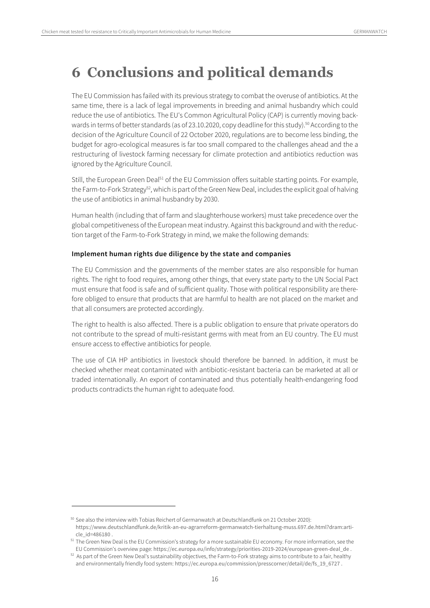### **6 Conclusions and political demands**

The EU Commission has failed with its previous strategy to combat the overuse of antibiotics. At the same time, there is a lack of legal improvements in breeding and animal husbandry which could reduce the use of antibiotics. The EU's Common Agricultural Policy (CAP) is currently moving backwards in terms of better standards (as of 23.10.2020, copy deadline for this study).<sup>50</sup> According to the decision of the Agriculture Council of 22 October 2020, regulations are to become less binding, the budget for agro-ecological measures is far too small compared to the challenges ahead and the a restructuring of livestock farming necessary for climate protection and antibiotics reduction was ignored by the Agriculture Council.

Still, the European Green Deal<sup>51</sup> of the EU Commission offers suitable starting points. For example, the Farm-to-Fork Strategy<sup>52</sup>, which is part of the Green New Deal, includes the explicit goal of halving the use of antibiotics in animal husbandry by 2030.

Human health (including that of farm and slaughterhouse workers) must take precedence over the global competitiveness of the European meat industry. Against this background and with the reduction target of the Farm-to-Fork Strategy in mind, we make the following demands:

#### **Implement human rights due diligence by the state and companies**

The EU Commission and the governments of the member states are also responsible for human rights. The right to food requires, among other things, that every state party to the UN Social Pact must ensure that food is safe and of sufficient quality. Those with political responsibility are therefore obliged to ensure that products that are harmful to health are not placed on the market and that all consumers are protected accordingly.

The right to health is also affected. There is a public obligation to ensure that private operators do not contribute to the spread of multi-resistant germs with meat from an EU country. The EU must ensure access to effective antibiotics for people.

The use of CIA HP antibiotics in livestock should therefore be banned. In addition, it must be checked whether meat contaminated with antibiotic-resistant bacteria can be marketed at all or traded internationally. An export of contaminated and thus potentially health-endangering food products contradicts the human right to adequate food.

<sup>50</sup> See also the interview with Tobias Reichert of Germanwatch at Deutschlandfunk on 21 October 2020): https://www.deutschlandfunk.de/kritik-an-eu-agrarreform-germanwatch-tierhaltung-muss.697.de.html?dram:article\_id=486180 .

<sup>&</sup>lt;sup>51</sup> The Green New Deal is the EU Commission's strategy for a more sustainable EU economy. For more information, see the EU Commission's overview page: https://ec.europa.eu/info/strategy/priorities-2019-2024/european-green-deal\_de .

<sup>52</sup> As part of the Green New Deal's sustainability objectives, the Farm-to-Fork strategy aims to contribute to a fair, healthy and environmentally friendly food system: https://ec.europa.eu/commission/presscorner/detail/de/fs\_19\_6727 .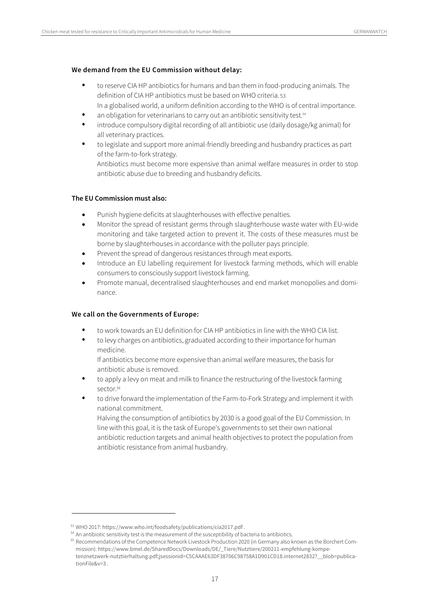#### **We demand from the EU Commission without delay:**

- to reserve CIA HP antibiotics for humans and ban them in food-producing animals. The definition of CIA HP antibiotics must be based on WHO criteria. 53 In a globalised world, a uniform definition according to the WHO is of central importance.
- an obligation for veterinarians to carry out an antibiotic sensitivity test.<sup>54</sup>
- introduce compulsory digital recording of all antibiotic use (daily dosage/kg animal) for all veterinary practices.
- to legislate and support more animal-friendly breeding and husbandry practices as part of the farm-to-fork strategy.

Antibiotics must become more expensive than animal welfare measures in order to stop antibiotic abuse due to breeding and husbandry deficits.

#### **The EU Commission must also:**

- Punish hygiene deficits at slaughterhouses with effective penalties.
- Monitor the spread of resistant germs through slaughterhouse waste water with EU-wide monitoring and take targeted action to prevent it. The costs of these measures must be borne by slaughterhouses in accordance with the polluter pays principle.
- Prevent the spread of dangerous resistances through meat exports.
- Introduce an EU labelling requirement for livestock farming methods, which will enable consumers to consciously support livestock farming.
- Promote manual, decentralised slaughterhouses and end market monopolies and dominance.

#### **We call on the Governments of Europe:**

- to work towards an EU definition for CIA HP antibiotics in line with the WHO CIA list.
- to levy charges on antibiotics, graduated according to their importance for human medicine.

If antibiotics become more expensive than animal welfare measures, the basis for antibiotic abuse is removed.

- to apply a levy on meat and milk to finance the restructuring of the livestock farming sector.<sup>55</sup>
- to drive forward the implementation of the Farm-to-Fork Strategy and implement it with national commitment.

Halving the consumption of antibiotics by 2030 is a good goal of the EU Commission. In line with this goal, it is the task of Europe's governments to set their own national antibiotic reduction targets and animal health objectives to protect the population from antibiotic resistance from animal husbandry.

 $53$  WHO 2017: https://www.who.int/foodsafety/publications/cia2017.pdf .<br> $54$  An antibiotic sensitivity test is the measurement of the susceptibility of bacteria to antibiotics.

<sup>&</sup>lt;sup>55</sup> Recommendations of the Competence Network Livestock Production 2020 (in Germany also known as the Borchert Commission): https://www.bmel.de/SharedDocs/Downloads/DE/\_Tiere/Nutztiere/200211-empfehlung-kompetenznetzwerk-nutztierhaltung.pdf;jsessionid=C5CAAAE63DF38706C98758A1D901CD18.internet2832?\_\_blob=publicationFile&v=3 .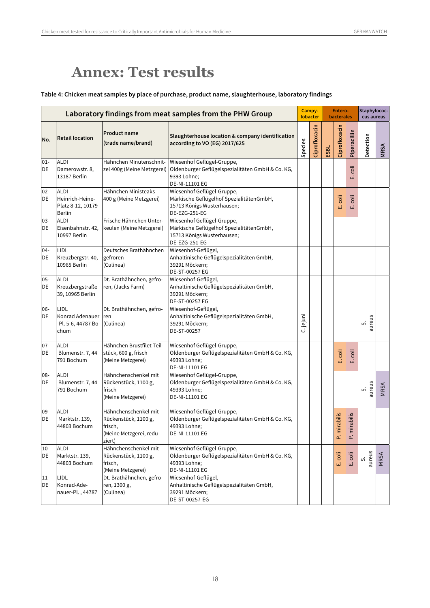## **Annex: Test results**

#### **Table 4: Chicken meat samples by place of purchase, product name, slaughterhouse, laboratory findings**

|              |                                                               |                                                                                              | Laboratory findings from meat samples from the PHW Group                                                              |           | Campy-<br>lobacter |      | Entero-<br><b>bacterales</b> |                           | Staphylococ-<br>cus aureus |             |
|--------------|---------------------------------------------------------------|----------------------------------------------------------------------------------------------|-----------------------------------------------------------------------------------------------------------------------|-----------|--------------------|------|------------------------------|---------------------------|----------------------------|-------------|
| No.          | <b>Retail location</b>                                        | <b>Product name</b><br>(trade name/brand)                                                    | Slaughterhouse location & company identification<br>according to VO (EG) 2017/625                                     | Species   | Ciprofloxacin      | ESBL | Ciprofloxacin                | Piperacillin              | Detection                  | <b>NRSA</b> |
| $01 -$<br>DE | <b>ALDI</b><br>Damerowstr. 8,<br>13187 Berlin                 | Hähnchen Minutenschnit-<br>zel 400g (Meine Metzgerei)                                        | Wiesenhof Geflügel-Gruppe,<br>Oldenburger Geflügelspezialitäten GmbH & Co. KG,<br>9393 Lohne;<br>DE-NI-11101 EG       |           |                    |      |                              | coli<br>ШÌ                |                            |             |
| $02 -$<br>DE | <b>ALDI</b><br>Heinrich-Heine-<br>Platz 8-12, 10179<br>Berlin | Hähnchen Ministeaks<br>400 g (Meine Metzgerei)                                               | Wiesenhof Geflügel-Gruppe,<br>Märkische Geflügelhof SpezialitätenGmbH,<br>15713 Königs Wusterhausen;<br>DE-EZG-251-EG |           |                    |      | coli<br>Ш                    | $\overline{5}$<br>ШÏ      |                            |             |
| $03 -$<br>DE | <b>ALDI</b><br>Eisenbahnstr. 42,<br>10997 Berlin              | Frische Hähnchen Unter-<br>keulen (Meine Metzgerei)                                          | Wiesenhof Geflügel-Gruppe,<br>Märkische Geflügelhof SpezialitätenGmbH,<br>15713 Königs Wusterhausen;<br>DE-EZG-251-EG |           |                    |      |                              |                           |                            |             |
| $04 -$<br>DE | LIDL<br>Kreuzbergstr. 40,<br>10965 Berlin                     | Deutsches Brathähnchen<br>gefroren<br>(Culinea)                                              | Wiesenhof-Geflügel,<br>Anhaltinische Geflügelspezialitäten GmbH,<br>39291 Möckern;<br>DE-ST-00257 EG                  |           |                    |      |                              |                           |                            |             |
| $05 -$<br>DE | <b>ALDI</b><br>Kreuzbergstraße<br>39, 10965 Berlin            | Dt. Brathähnchen, gefro-<br>ren, (Jacks Farm)                                                | Wiesenhof-Geflügel,<br>Anhaltinische Geflügelspezialitäten GmbH,<br>39291 Möckern;<br>DE-ST-00257 EG                  |           |                    |      |                              |                           |                            |             |
| 06-<br>DE    | LIDL<br>Konrad Adenauer<br>-Pl. 5-6, 44787 Bo-<br>chum        | Dt. Brathähnchen, gefro-<br>ren<br>(Culinea)                                                 | Wiesenhof-Geflügel,<br>Anhaltinische Geflügelspezialitäten GmbH,<br>39291 Möckern;<br>DE-ST-00257                     | C. jejuni |                    |      |                              |                           | aureus<br>vi               |             |
| $07 -$<br>DE | <b>ALDI</b><br>Blumenstr. 7, 44<br>791 Bochum                 | Hähnchen Brustfilet Teil-<br>stück, 600 g, frisch<br>(Meine Metzgerei)                       | Wiesenhof Geflügel-Gruppe,<br>Oldenburger Geflügelspezialitäten GmbH & Co. KG,<br>49393 Lohne;<br>DE-NI-11101 EG      |           |                    |      | coli<br>Ш                    | coli<br>ШÏ                |                            |             |
| 08-<br>DE    | <b>ALDI</b><br>Blumenstr. 7, 44<br>791 Bochum                 | Hähnchenschenkel mit<br>Rückenstück, 1100 g,<br>frisch<br>(Meine Metzgerei)                  | Wiesenhof Geflügel-Gruppe,<br>Oldenburger Geflügelspezialitäten GmbH & Co. KG,<br>49393 Lohne;<br>DE-NI-11101 EG      |           |                    |      |                              |                           | aureus<br>vi               | MRSA        |
| 09-<br>DE    | <b>ALDI</b><br>Marktstr. 139,<br>44803 Bochum                 | Hähnchenschenkel mit<br>Rückenstück, 1100 g,<br>frisch,<br>(Meine Metzgerei, redu-<br>ziert) | Wiesenhof Geflügel-Gruppe,<br>Oldenburger Geflügelspezialitäten GmbH & Co. KG,<br>49393 Lohne;<br>DE-NI-11101 EG      |           |                    |      | P. mirabilis                 | mirabilis<br>$\mathbf{r}$ |                            |             |
| $10 -$<br>DE | <b>ALDI</b><br>Marktstr. 139,<br>44803 Bochum                 | Hähnchenschenkel mit<br>Rückenstück, 1100 g,<br>frisch,<br>(Meine Metzgerei)                 | Wiesenhof Geflügel-Gruppe,<br>Oldenburger Geflügelspezialitäten GmbH & Co. KG,<br>49393 Lohne;<br>DE-NI-11101 EG      |           |                    |      | coli<br>ШÏ                   | coli<br>щ                 | aureus<br>vi               | <b>MRSA</b> |
| $11-$<br>DE  | LIDL<br>Konrad-Ade-<br>nauer-Pl., 44787                       | Dt. Brathähnchen, gefro-<br>ren, 1300 g,<br>(Culinea)                                        | Wiesenhof-Geflügel,<br>Anhaltinische Geflügelspezialitäten GmbH,<br>39291 Möckern;<br>DE-ST-00257-EG                  |           |                    |      |                              |                           |                            |             |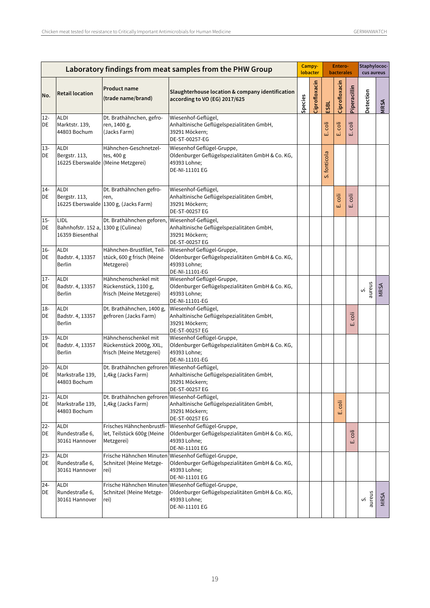|              |                                                                    |                                                                             | Laboratory findings from meat samples from the PHW Group                                                         |         | Campy-<br>lobacter |              | Entero-<br><b>bacterales</b> |              | Staphylococ-<br>cus aureus |             |
|--------------|--------------------------------------------------------------------|-----------------------------------------------------------------------------|------------------------------------------------------------------------------------------------------------------|---------|--------------------|--------------|------------------------------|--------------|----------------------------|-------------|
| No.          | <b>Retail location</b>                                             | <b>Product name</b><br>(trade name/brand)                                   | Slaughterhouse location & company identification<br>according to VO (EG) 2017/625                                | Species | Ciprofloxacin      | ESBL         | Ciprofloxacin                | Piperacillin | Detection                  | MRSA        |
| $12 -$<br>DE | <b>ALDI</b><br>Marktstr. 139,<br>44803 Bochum                      | Dt. Brathähnchen, gefro-<br>ren, 1400 g,<br>(Jacks Farm)                    | Wiesenhof-Geflügel,<br>Anhaltinische Geflügelspezialitäten GmbH,<br>39291 Möckern;<br>DE-ST-00257-EG             |         |                    | ilos<br>шi   | öli<br>ШÏ                    | ö<br>щі      |                            |             |
| $13 -$<br>DE | <b>ALDI</b><br>Bergstr. 113,<br>16225 Eberswalde (Meine Metzgerei) | Hähnchen-Geschnetzel-<br>tes, 400 g                                         | Wiesenhof Geflügel-Gruppe,<br>Oldenburger Geflügelspezialitäten GmbH & Co. KG,<br>49393 Lohne;<br>DE-NI-11101 EG |         |                    | S. fonticola |                              |              |                            |             |
| $14 -$<br>DE | <b>ALDI</b><br>Bergstr. 113,                                       | Dt. Brathähnchen gefro-<br>ren,<br>16225 Eberswalde 1300 g, (Jacks Farm)    | Wiesenhof-Geflügel,<br>Anhaltinische Geflügelspezialitäten GmbH,<br>39291 Möckern;<br>DE-ST-00257 EG             |         |                    |              | coli<br>Ш                    | coli<br>щі   |                            |             |
| $15 -$<br>DE | LIDL<br>Bahnhofstr. 152 a, 1300 g (Culinea)<br>16359 Biesenthal    | Dt. Brathähnchen geforen,                                                   | Wiesenhof-Geflügel,<br>Anhaltinische Geflügelspezialitäten GmbH,<br>39291 Möckern;<br>DE-ST-00257 EG             |         |                    |              |                              |              |                            |             |
| $16-$<br>DE  | <b>ALDI</b><br>Badstr. 4, 13357<br>Berlin                          | Hähnchen-Brustfilet, Teil-<br>stück, 600 g frisch (Meine<br>Metzgerei)      | Wiesenhof Geflügel-Gruppe,<br>Oldenburger Geflügelspezialitäten GmbH & Co. KG,<br>49393 Lohne;<br>DE-NI-11101-EG |         |                    |              |                              |              |                            |             |
| $17 -$<br>DE | <b>ALDI</b><br>Badstr. 4, 13357<br>Berlin                          | Hähnchenschenkel mit<br>Rückenstück, 1100 g,<br>frisch (Meine Metzgerei)    | Wiesenhof Geflügel-Gruppe,<br>Oldenburger Geflügelspezialitäten GmbH & Co. KG,<br>49393 Lohne;<br>DE-NI-11101-EG |         |                    |              |                              |              | aureus<br>vi               | <b>MRSA</b> |
| $18-$<br>DE  | <b>ALDI</b><br>Badstr. 4, 13357<br>Berlin                          | Dt. Brathähnchen, 1400 g,<br>gefroren (Jacks Farm)                          | Wiesenhof-Geflügel,<br>Anhaltinische Geflügelspezialitäten GmbH,<br>39291 Möckern;<br>DE-ST-00257 EG             |         |                    |              |                              | coli<br>ШÏ   |                            |             |
| $19-$<br>DE  | <b>ALDI</b><br>Badstr. 4, 13357<br>Berlin                          | Hähnchenschenkel mit<br>Rückenstück 2000g, XXL,<br>frisch (Meine Metzgerei) | Wiesenhof Geflügel-Gruppe,<br>Oldenburger Geflügelspezialitäten GmbH & Co. KG,<br>49393 Lohne;<br>DE-NI-11101-EG |         |                    |              |                              |              |                            |             |
| $20 -$<br>DE | <b>ALDI</b><br>Markstraße 139,<br>44803 Bochum                     | Dt. Brathähnchen gefroren Wiesenhof-Geflügel,<br>1,4kg (Jacks Farm)         | Anhaltinische Geflügelspezialitäten GmbH,<br>39291 Möckern;<br>DE-ST-00257 EG                                    |         |                    |              |                              |              |                            |             |
| $21 -$<br>DE | <b>ALDI</b><br>Markstraße 139.<br>44803 Bochum                     | Dt. Brathähnchen gefroren Wiesenhof-Geflügel,<br>1,4kg (Jacks Farm)         | Anhaltinische Geflügelspezialitäten GmbH,<br>39291 Möckern;<br>DE-ST-00257 EG                                    |         |                    |              | coli<br>шì                   |              |                            |             |
| $22 -$<br>DE | <b>ALDI</b><br>Rundestraße 6,<br>30161 Hannover                    | Frisches Hähnchenbrustfi-<br>let, Teilstück 600g (Meine<br>Metzgerei)       | Wiesenhof Geflügel-Gruppe,<br>Oldenburger Geflügelspezialitäten GmbH & Co. KG,<br>49393 Lohne;<br>DE-NI-11101 EG |         |                    |              |                              | coli<br>щ    |                            |             |
| $23 -$<br>DE | <b>ALDI</b><br>Rundestraße 6,<br>30161 Hannover                    | Frische Hähnchen Minuten<br>Schnitzel (Meine Metzge-<br>rei)                | Wiesenhof Geflügel-Gruppe,<br>Oldenburger Geflügelspezialitäten GmbH & Co. KG,<br>49393 Lohne;<br>DE-NI-11101 EG |         |                    |              |                              |              |                            |             |
| $24 -$<br>DE | <b>ALDI</b><br>Rundestraße 6,<br>30161 Hannover                    | Frische Hähnchen Minuten<br>Schnitzel (Meine Metzge-<br>rei)                | Wiesenhof Geflügel-Gruppe,<br>Oldenburger Geflügelspezialitäten GmbH & Co. KG,<br>49393 Lohne;<br>DE-NI-11101 EG |         |                    |              |                              |              | S.<br>aureus               | MRSA        |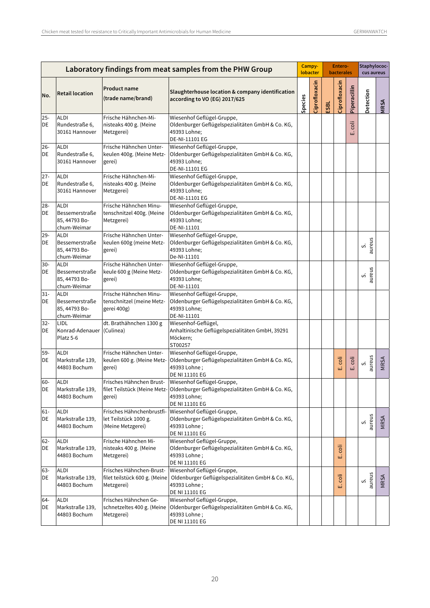|              |                                                               |                                                                         | Laboratory findings from meat samples from the PHW Group                                                                                     |         | Campy-<br>lobacter |             | Entero-<br><b>bacterales</b> |              | Staphylococ-<br>cus aureus |      |
|--------------|---------------------------------------------------------------|-------------------------------------------------------------------------|----------------------------------------------------------------------------------------------------------------------------------------------|---------|--------------------|-------------|------------------------------|--------------|----------------------------|------|
| No.          | <b>Retail location</b>                                        | <b>Product name</b><br>(trade name/brand)                               | Slaughterhouse location & company identification<br>according to VO (EG) 2017/625                                                            | Species | Ciprofloxacin      | <b>ESBL</b> | Ciprofloxacin                | Piperacillin | Detection                  | MRSA |
| $25 -$<br>DE | <b>ALDI</b><br>Rundestraße 6,<br>30161 Hannover               | Frische Hähnchen-Mi-<br>nisteaks 400 g. (Meine<br>Metzgerei)            | Wiesenhof Geflügel-Gruppe,<br>Oldenburger Geflügelspezialitäten GmbH & Co. KG,<br>49393 Lohne;<br>DE-NI-11101 EG                             |         |                    |             |                              | coli<br>Ш    |                            |      |
| $26 -$<br>DE | <b>ALDI</b><br>Rundestraße 6,<br>30161 Hannover               | Frische Hähnchen Unter-<br>keulen 400g. (Meine Metz-<br>gerei)          | Wiesenhof Geflügel-Gruppe,<br>Oldenburger Geflügelspezialitäten GmbH & Co. KG,<br>49393 Lohne;<br>DE-NI-11101 EG                             |         |                    |             |                              |              |                            |      |
| $27 -$<br>DE | <b>ALDI</b><br>Rundestraße 6,<br>30161 Hannover               | Frische Hähnchen-Mi-<br>nisteaks 400 g. (Meine<br>Metzgerei)            | Wiesenhof Geflügel-Gruppe,<br>Oldenburger Geflügelspezialitäten GmbH & Co. KG,<br>49393 Lohne;<br>DE-NI-11101 EG                             |         |                    |             |                              |              |                            |      |
| $28 -$<br>DE | <b>ALDI</b><br>Bessemerstraße<br>85, 44793 Bo-<br>chum-Weimar | Frische Hähnchen Minu-<br>tenschnitzel 400g. (Meine<br>Metzgerei)       | Wiesenhof Geflügel-Gruppe,<br>Oldenburger Geflügelspezialitäten GmbH & Co. KG,<br>49393 Lohne;<br>DE-NI-11101                                |         |                    |             |                              |              |                            |      |
| $29 -$<br>DE | <b>ALDI</b><br>Bessemerstraße<br>85, 44793 Bo-<br>chum-Weimar | Frische Hähnchen Unter-<br>keulen 600g (meine Metz-<br>gerei)           | Wiesenhof Geflügel-Gruppe,<br>Oldenburger Geflügelspezialitäten GmbH & Co. KG,<br>49393 Lohne;<br>De-NI-11101                                |         |                    |             |                              |              | aureus<br>vi               |      |
| $30-$<br>DE  | <b>ALDI</b><br>Bessemerstraße<br>85, 44793 Bo-<br>chum-Weimar | Frische Hähnchen Unter-<br>keule 600 g (Meine Metz-<br>gerei)           | Wiesenhof Geflügel-Gruppe,<br>Oldenburger Geflügelspezialitäten GmbH & Co. KG,<br>49393 Lohne;<br>DE-NI-11101                                |         |                    |             |                              |              | aureus<br>vi               |      |
| $31 -$<br>DE | <b>ALDI</b><br>Bessemerstraße<br>85, 44793 Bo-<br>chum-Weimar | Frische Hähnchen Minu-<br>tenschnitzel (meine Metz-<br>gerei 400g)      | Wiesenhof Geflügel-Gruppe,<br>Oldenburger Geflügelspezialitäten GmbH & Co. KG,<br>49393 Lohne;<br>DE-NI-11101                                |         |                    |             |                              |              |                            |      |
| $32 -$<br>DE | <b>LIDL</b><br>Konrad-Adenauer (Culinea)<br>Platz 5-6         | dt. Brathähnchen 1300 g                                                 | Wiesenhof-Geflügel,<br>Anhaltinische Geflügelspezialitäten GmbH, 39291<br>Möckern;<br>ST00257                                                |         |                    |             |                              |              |                            |      |
| 59-<br>DE    | <b>ALDI</b><br>Markstraße 139,<br>44803 Bochum                | Frische Hähnchen Unter-<br>keulen 600 g. (Meine Metz-<br>gerei)         | Wiesenhof Geflügel-Gruppe,<br>Oldenburger Geflügelspezialitäten GmbH & Co. KG,<br>49393 Lohne;<br>DE NI 11101 EG                             |         |                    |             | coli<br>ШÏ                   | E. coli      | aureus<br>S                | MRSA |
| $60-$<br>DE  | <b>ALDI</b><br>Markstraße 139,<br>44803 Bochum                | Frisches Hähnchen Brust-<br>gerei)                                      | Wiesenhof Geflügel-Gruppe<br>filet Teilstück (Meine Metz- Oldenburger Geflügelspezialitäten GmbH & Co. KG,<br>49393 Lohne;<br>DE NI 11101 EG |         |                    |             |                              |              |                            |      |
| 61-<br>DE    | ALDI<br>Markstraße 139,<br>44803 Bochum                       | Frisches Hähnchenbrustfi-<br>let Teilstück 1000 g.<br>(Meine Metzgerei) | Wiesenhof Geflügel-Gruppe,<br>Oldenburger Geflügelspezialitäten GmbH & Co. KG,<br>49393 Lohne;<br>DE NI 11101 EG                             |         |                    |             |                              |              | S.<br>aureus               | MRSA |
| $62 -$<br>DE | <b>ALDI</b><br>Markstraße 139,<br>44803 Bochum                | Frische Hähnchen Mi-<br>nisteaks 400 g. (Meine<br>Metzgerei)            | Wiesenhof Geflügel-Gruppe,<br>Oldenburger Geflügelspezialitäten GmbH & Co. KG,<br>49393 Lohne;<br>DE NI 11101 EG                             |         |                    |             | ö<br>щі                      |              |                            |      |
| $63 -$<br>DE | <b>ALDI</b><br>Markstraße 139,<br>44803 Bochum                | Frisches Hähnchen-Brust-<br>filet teilstück 600 g. (Meine<br>Metzgerei) | Wiesenhof Geflügel-Gruppe,<br>Oldenburger Geflügelspezialitäten GmbH & Co. KG,<br>49393 Lohne;<br>DE NI 11101 EG                             |         |                    |             | coli<br>نى                   |              | aureus<br>vi               | MRSA |
| 64-<br>DE    | <b>ALDI</b><br>Markstraße 139,<br>44803 Bochum                | Frisches Hähnchen Ge-<br>schnetzeltes 400 g. (Meine<br>Metzgerei)       | Wiesenhof Geflügel-Gruppe,<br>Oldenburger Geflügelspezialitäten GmbH & Co. KG,<br>49393 Lohne;<br>DE NI 11101 EG                             |         |                    |             |                              |              |                            |      |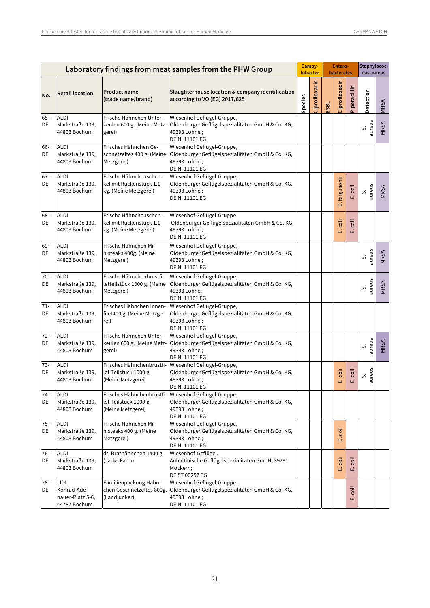|              |                                                         |                                                                            | Laboratory findings from meat samples from the PHW Group                                                         |         | Campy-<br>lobacter |      | Entero-<br>bacterales |              | Staphylococ-<br>cus aureus |      |
|--------------|---------------------------------------------------------|----------------------------------------------------------------------------|------------------------------------------------------------------------------------------------------------------|---------|--------------------|------|-----------------------|--------------|----------------------------|------|
| No.          | <b>Retail location</b>                                  | <b>Product name</b><br>(trade name/brand)                                  | Slaughterhouse location & company identification<br>according to VO (EG) 2017/625                                | Species | Ciprofloxacin      | ESBL | Ciprofloxacin         | Piperacillin | Detection                  | MRSA |
| 65-<br>DE    | <b>ALDI</b><br>Markstraße 139,<br>44803 Bochum          | Frische Hähnchen Unter-<br>keulen 600 g. (Meine Metz-<br>gerei)            | Wiesenhof Geflügel-Gruppe,<br>Oldenburger Geflügelspezialitäten GmbH & Co. KG,<br>49393 Lohne;<br>DE NI 11101 EG |         |                    |      |                       |              | aureus<br>vi               | MRSA |
| 66-<br>DE    | <b>ALDI</b><br>Markstraße 139,<br>44803 Bochum          | Frisches Hähnchen Ge-<br>schnetzeltes 400 g. (Meine<br>Metzgerei)          | Wiesenhof Geflügel-Gruppe,<br>Oldenburger Geflügelspezialitäten GmbH & Co. KG,<br>49393 Lohne;<br>DE NI 11101 EG |         |                    |      |                       |              |                            |      |
| $67 -$<br>DE | <b>ALDI</b><br>Markstraße 139,<br>44803 Bochum          | Frische Hähnchenschen-<br>kel mit Rückenstück 1,1<br>kg. (Meine Metzgerei) | Wiesenhof Geflügel-Gruppe,<br>Oldenburger Geflügelspezialitäten GmbH & Co. KG,<br>49393 Lohne;<br>DE NI 11101 EG |         |                    |      | fergusonii<br>ωì      | E. coli      | aureus<br>vi               | MRSA |
| 68-<br>DE    | <b>ALDI</b><br>Markstraße 139,<br>44803 Bochum          | Frische Hähnchenschen-<br>kel mit Rückenstück 1,1<br>kg. (Meine Metzgerei) | Wiesenhof Geflügel-Gruppe<br>Oldenburger Geflügelspezialitäten GmbH & Co. KG,<br>49393 Lohne;<br>DE NI 11101 EG  |         |                    |      | coli<br>ئىر           | coli<br>ШÌ   |                            |      |
| 69-<br>DE    | <b>ALDI</b><br>Markstraße 139,<br>44803 Bochum          | Frische Hähnchen Mi-<br>nisteaks 400g. (Meine<br>Metzgerei)                | Wiesenhof Geflügel-Gruppe,<br>Oldenburger Geflügelspezialitäten GmbH & Co. KG,<br>49393 Lohne;<br>DE NI 11101 EG |         |                    |      |                       |              | aureus<br>vi               | MRSA |
| 70-<br>DE    | <b>ALDI</b><br>Markstraße 139,<br>44803 Bochum          | Frische Hähnchenbrustfi-<br>letteilstück 1000 g. (Meine<br>Metzgerei)      | Wiesenhof Geflügel-Gruppe,<br>Oldenburger Geflügelspezialitäten GmbH & Co. KG,<br>49393 Lohne;<br>DE NI 11101 EG |         |                    |      |                       |              | aureus<br>vi               | MRSA |
| $71 -$<br>DE | <b>ALDI</b><br>Markstraße 139,<br>44803 Bochum          | Frisches Hähnchen Innen-<br>filet400 g. (Meine Metzge-<br>rei)             | Wiesenhof Geflügel-Gruppe,<br>Oldenburger Geflügelspezialitäten GmbH & Co. KG,<br>49393 Lohne;<br>DE NI 11101 EG |         |                    |      |                       |              |                            |      |
| $72 -$<br>DE | <b>ALDI</b><br>Markstraße 139,<br>44803 Bochum          | Frische Hähnchen Unter-<br>keulen 600 g. (Meine Metz-<br>gerei)            | Wiesenhof Geflügel-Gruppe,<br>Oldenburger Geflügelspezialitäten GmbH & Co. KG,<br>49393 Lohne;<br>DE NI 11101 EG |         |                    |      |                       |              | aureus<br>vi               | MRSA |
| $73-$<br>DE  | <b>ALDI</b><br>Markstraße 139,<br>44803 Bochum          | Frisches Hähnchenbrustfi-<br>let Teilstück 1000 g.<br>(Meine Metzgerei)    | Wiesenhof Geflügel-Gruppe,<br>Oldenburger Geflügelspezialitäten GmbH & Co. KG,<br>49393 Lohne;<br>DE NI 11101 EG |         |                    |      | $\overline{15}$<br>шì | coli<br>щ    | aureus<br>vi               |      |
| $74-$<br>DE  | <b>ALDI</b><br>Markstraße 139,<br>44803 Bochum          | Frisches Hähnchenbrustfi-<br>let Teilstück 1000 g.<br>(Meine Metzgerei)    | Wiesenhof Geflügel-Gruppe,<br>Oldenburger Geflügelspezialitäten GmbH & Co. KG,<br>49393 Lohne;<br>DE NI 11101 EG |         |                    |      |                       |              |                            |      |
| 75-<br>DE    | <b>ALDI</b><br>Markstraße 139,<br>44803 Bochum          | Frische Hähnchen Mi-<br>nisteaks 400 g. (Meine<br>Metzgerei)               | Wiesenhof Geflügel-Gruppe,<br>Oldenburger Geflügelspezialitäten GmbH & Co. KG,<br>49393 Lohne;<br>DE NI 11101 EG |         |                    |      | coli<br>шì            |              |                            |      |
| 76-<br>DE    | <b>ALDI</b><br>Markstraße 139,<br>44803 Bochum          | dt. Brathähnchen 1400 g.<br>(Jacks Farm)                                   | Wiesenhof-Geflügel,<br>Anhaltinische Geflügelspezialitäten GmbH, 39291<br>Möckern;<br>DE ST 00257 EG             |         |                    |      | iloo<br>шì            | coli<br>щ    |                            |      |
| 78-<br>DE    | LIDL<br>Konrad-Ade-<br>nauer-Platz 5-6,<br>44787 Bochum | Familienpackung Hähn-<br>chen Geschnetzeltes 800g.<br>(Landjunker)         | Wiesenhof Geflügel-Gruppe,<br>Oldenburger Geflügelspezialitäten GmbH & Co. KG,<br>49393 Lohne;<br>DE NI 11101 EG |         |                    |      |                       | coli<br>ய்   |                            |      |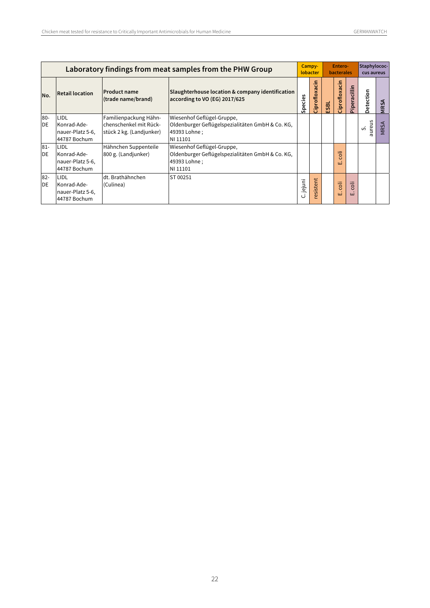|              |                                                                |                                                                              | Laboratory findings from meat samples from the PHW Group                                                   | Campy-<br>lobacter |                     | Entero-<br><b>bacterales</b> |                             |                                           | Staphylococ-<br>cus aureus |             |
|--------------|----------------------------------------------------------------|------------------------------------------------------------------------------|------------------------------------------------------------------------------------------------------------|--------------------|---------------------|------------------------------|-----------------------------|-------------------------------------------|----------------------------|-------------|
| No.          | <b>Retail location</b>                                         | <b>Product name</b><br>(trade name/brand)                                    | Slaughterhouse location & company identification<br>according to VO (EG) 2017/625                          | Species            | -동<br>Ciprofloxa    | ESBL                         | Ciprofloxacin               | Piperacillin                              | Detection                  | <b>MRSA</b> |
| $80 -$<br>DE | LIDL<br>Konrad-Ade-<br>nauer-Platz 5-6,<br>44787 Bochum        | Familienpackung Hähn-<br>lchenschenkel mit Rück-<br>stück 2 kg. (Landjunker) | Wiesenhof Geflügel-Gruppe,<br>Oldenburger Geflügelspezialitäten GmbH & Co. KG,<br>49393 Lohne:<br>NI 11101 |                    |                     |                              |                             |                                           | aureus<br>vi               | <b>MRSA</b> |
| $81 -$<br>DE | <b>LIDL</b><br>Konrad-Ade-<br>nauer-Platz 5-6,<br>44787 Bochum | Hähnchen Suppenteile<br>800 g. (Landjunker)                                  | Wiesenhof Geflügel-Gruppe,<br>Oldenburger Geflügelspezialitäten GmbH & Co. KG,<br>49393 Lohne;<br>NI 11101 |                    |                     |                              | coli<br>шi                  |                                           |                            |             |
| $82 -$<br>DE | LIDL<br>Konrad-Ade-<br>nauer-Platz 5-6,<br>44787 Bochum        | dt. Brathähnchen<br>(Culinea)                                                | ST 00251                                                                                                   | C. jejuni          | sistent<br>$\omega$ |                              | $\ddot{\overline{6}}$<br>ωì | $\overline{\circ}$<br>$\overline{O}$<br>ш |                            |             |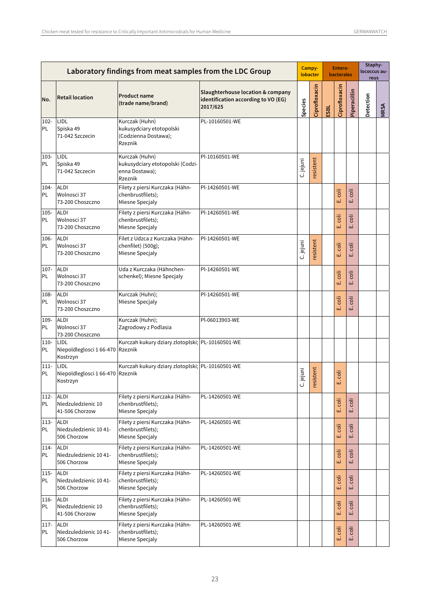|                |                                                      | Laboratory findings from meat samples from the LDC Group                        |                                                                                      |              |               |      | Entero-<br><b>bacterales</b> |              | Staphy-<br>lococcus au-<br>reus |      |
|----------------|------------------------------------------------------|---------------------------------------------------------------------------------|--------------------------------------------------------------------------------------|--------------|---------------|------|------------------------------|--------------|---------------------------------|------|
| No.            | <b>Retail location</b>                               | <b>Product name</b><br>(trade name/brand)                                       | Slaughterhouse location & company<br>identification according to VO (EG)<br>2017/625 | Species      | Ciprofloxacin | ESBL | Ciprofloxacin                | Piperacillin | Detection                       | MRSA |
| 102-<br>PL     | LIDL<br>Spiska 49<br>71-042 Szczecin                 | Kurczak (Huhn)<br>kukusydciary etotopolski<br>(Codzienna Dostawa);<br>Rzeznik   | PL-10160501-WE                                                                       |              |               |      |                              |              |                                 |      |
| 103-<br>PL.    | LIDL<br>Spiska 49<br>71-042 Szczecin                 | Kurczak (Huhn)<br>kukusydciary etotopolski (Codzi-<br>enna Dostawa);<br>Rzeznik | Pl-10160501-WE                                                                       | C. jejuni    | resistent     |      |                              |              |                                 |      |
| $104 -$<br>PL  | <b>ALDI</b><br>Wolnosci 37<br>73-200 Choszczno       | Filety z piersi Kurczaka (Hähn-<br>chenbrustfilets);<br>Miesne Specjaly         | Pl-14260501-WE                                                                       |              |               |      | ö<br>ШÏ                      | ö<br>щі      |                                 |      |
| 105-<br>PL     | <b>ALDI</b><br>Wolnosci 37<br>73-200 Choszczno       | Filety z piersi Kurczaka (Hähn-<br>chenbrustfilets);<br>Miesne Specialy         | Pl-14260501-WE                                                                       |              |               |      | E. coli                      | coli<br>ші   |                                 |      |
| 106-<br>PL     | <b>ALDI</b><br>Wolnosci 37<br>73-200 Choszczno       | Filet z Udzca z Kurczaka (Hähn-<br>chenfilet) (500g);<br>Miesne Specjaly        | Pl-14260501-WE                                                                       | C. jejuni    | resistent     |      | coli<br>ШÏ                   | coli<br>ші   |                                 |      |
| $107 -$<br>PL  | <b>ALDI</b><br>Wolnosci 37<br>73-200 Choszczno       | Uda z Kurczaka (Hähnchen-<br>schenkel); Miesne Specjaly                         | Pl-14260501-WE                                                                       |              |               |      | coli<br>Ш                    | coli<br>ші   |                                 |      |
| 108-<br>PL     | <b>ALDI</b><br>Wolnosci 37<br>73-200 Choszczno       | Kurczak (Huhn);<br>Miesne Specjaly                                              | Pl-14260501-WE                                                                       |              |               |      | E. coli                      | coli<br>Ш    |                                 |      |
| 109-<br>PL     | <b>ALDI</b><br>Wolnosci 37<br>73-200 Choszczno       | Kurczak (Huhn);<br>Zagrodowy z Podlasia                                         | Pl-06013903-WE                                                                       |              |               |      |                              |              |                                 |      |
| $110 -$<br>PL  | LIDL<br>Niepoldleglosci 1 66-470 Rzeznik<br>Kostrzyn | Kurczah kukury dziary zlotoplski; PL-10160501-WE                                |                                                                                      |              |               |      |                              |              |                                 |      |
| $111 -$<br>PL  | LIDL<br>Niepoldleglosci 1 66-470 Rzeznik<br>Kostrzyn | Kurczah kukury dziary zlotoplski; PL-10160501-WE                                |                                                                                      | iuniej.<br>ပ | resistent     |      | coli<br>шì                   |              |                                 |      |
| 112-<br>PL     | <b>ALDI</b><br>Niedzuledzienic 10<br>41-506 Chorzow  | Filety z piersi Kurczaka (Hähn-<br>chenbrustfilets);<br>Miesne Specjaly         | PL-14260501-WE                                                                       |              |               |      | E. coli                      | coli<br>щі   |                                 |      |
| $113-$<br>PL   | <b>ALDI</b><br>Niedzuledzienic 10 41-<br>506 Chorzow | Filety z piersi Kurczaka (Hähn-<br>chenbrustfilets);<br>Miesne Specjaly         | PL-14260501-WE                                                                       |              |               |      | $\ddot{5}$<br>ШÏ             | coli<br>щі   |                                 |      |
| 114-<br>PL     | <b>ALDI</b><br>Niedzuledzienic 10 41-<br>506 Chorzow | Filety z piersi Kurczaka (Hähn-<br>chenbrustfilets);<br>Miesne Specjaly         | PL-14260501-WE                                                                       |              |               |      | ö<br>ШÏ                      | coli<br>щі   |                                 |      |
| $115 -$<br>PL  | <b>ALDI</b><br>Niedzuledzienic 10 41-<br>506 Chorzow | Filety z piersi Kurczaka (Hähn-<br>chenbrustfilets);<br>Miesne Specjaly         | PL-14260501-WE                                                                       |              |               |      | coli<br>Ш                    | coli<br>щі   |                                 |      |
| 116-<br>PL     | <b>ALDI</b><br>Niedzuledzienic 10<br>41-506 Chorzow  | Filety z piersi Kurczaka (Hähn-<br>chenbrustfilets);<br>Miesne Specjaly         | PL-14260501-WE                                                                       |              |               |      | coli<br>Ш                    | coli<br>ئىر  |                                 |      |
| $117 -$<br>PL. | <b>ALDI</b><br>Niedzuledzienic 10 41-<br>506 Chorzow | Filety z piersi Kurczaka (Hähn-<br>chenbrustfilets);<br>Miesne Specjaly         | PL-14260501-WE                                                                       |              |               |      | E. coli                      | coli<br>யி   |                                 |      |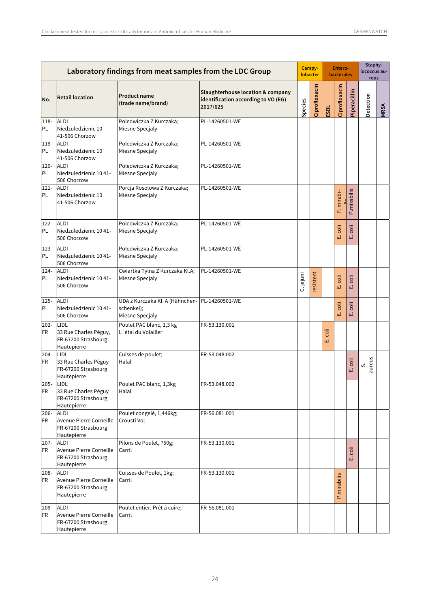|               |                                                                              | Laboratory findings from meat samples from the LDC Group<br><b>Product name</b><br>identification according to VO (EG)<br>(trade name/brand)<br>2017/625<br>Poledwiczka Z Kurczaka;<br>PL-14260501-WE<br>Miesne Specjaly<br>Poledwiczka Z Kurczaka;<br>PL-14260501-WE<br>Miesne Specjaly<br>Poledwiczka Z Kurczaka;<br>PL-14260501-WE<br>Miesne Specjaly<br>Porcja Rosolowa Z Kurczaka;<br>PL-14260501-WE<br>Miesne Specjaly<br>Poledwiczka Z Kurczaka;<br>PL-14260501-WE<br>Miesne Specjaly<br>Poledwiczka Z Kurczaka;<br>PL-14260501-WE<br>Miesne Specjaly<br>Cwiartka Tylna Z Kurczaka Kl.A;<br>PL-14260501-WE<br>Miesne Specjaly<br>UDA z Kurczaka Kl. A (Hähnchen-PL-14260501-WE<br>schenkel);<br>Miesne Specjaly<br>Poulet PAC blanc, 1,3 kg<br>FR-53.130.001<br>L'étal du Volailler<br>Cuisses de poulet;<br>FR-53.048.002<br>Halal |                                   |           | Campy-<br>lobacter |          | Entero-<br><b>bacterales</b> |              | Staphy-<br>lococcus au-<br>reus |             |
|---------------|------------------------------------------------------------------------------|--------------------------------------------------------------------------------------------------------------------------------------------------------------------------------------------------------------------------------------------------------------------------------------------------------------------------------------------------------------------------------------------------------------------------------------------------------------------------------------------------------------------------------------------------------------------------------------------------------------------------------------------------------------------------------------------------------------------------------------------------------------------------------------------------------------------------------------------|-----------------------------------|-----------|--------------------|----------|------------------------------|--------------|---------------------------------|-------------|
| No.           | <b>Retail location</b>                                                       |                                                                                                                                                                                                                                                                                                                                                                                                                                                                                                                                                                                                                                                                                                                                                                                                                                            | Slaughterhouse location & company | Species   | Ciprofloxacin      | ESBL     | Ciprofloxacin                | Piperacillin | Detection                       | <b>MRSA</b> |
| 118-<br>PL    | <b>ALDI</b><br>Niedzuledzienic 10<br>41-506 Chorzow                          |                                                                                                                                                                                                                                                                                                                                                                                                                                                                                                                                                                                                                                                                                                                                                                                                                                            |                                   |           |                    |          |                              |              |                                 |             |
| 119-<br>PL    | <b>ALDI</b><br>Niedzuledzienic 10<br>41-506 Chorzow                          |                                                                                                                                                                                                                                                                                                                                                                                                                                                                                                                                                                                                                                                                                                                                                                                                                                            |                                   |           |                    |          |                              |              |                                 |             |
| 120-<br>PL    | <b>ALDI</b><br>Niedzuledzienic 10 41-<br>506 Chorzow                         |                                                                                                                                                                                                                                                                                                                                                                                                                                                                                                                                                                                                                                                                                                                                                                                                                                            |                                   |           |                    |          |                              |              |                                 |             |
| $121 -$<br>PL | <b>ALDI</b><br>Niedzuledzienic 10<br>41-506 Chorzow                          |                                                                                                                                                                                                                                                                                                                                                                                                                                                                                                                                                                                                                                                                                                                                                                                                                                            |                                   |           |                    |          | P. mirabi-                   | P.mirabilis  |                                 |             |
| 122-<br>PL    | <b>ALDI</b><br>Niedzuledzienic 10 41-<br>506 Chorzow                         |                                                                                                                                                                                                                                                                                                                                                                                                                                                                                                                                                                                                                                                                                                                                                                                                                                            |                                   |           |                    |          | coli<br>ШÏ                   | coli<br>Ш    |                                 |             |
| 123-<br>PL    | <b>ALDI</b><br>Niedzuledzienic 10 41-<br>506 Chorzow                         |                                                                                                                                                                                                                                                                                                                                                                                                                                                                                                                                                                                                                                                                                                                                                                                                                                            |                                   |           |                    |          |                              |              |                                 |             |
| $124 -$<br>PL | <b>ALDI</b><br>Niedzuledzienic 10 41-<br>506 Chorzow                         |                                                                                                                                                                                                                                                                                                                                                                                                                                                                                                                                                                                                                                                                                                                                                                                                                                            |                                   | C. jejuni | resistent          |          | coli<br>ШÌ                   | coli<br>ші   |                                 |             |
| $125 -$<br>PL | <b>ALDI</b><br>Niedzuledzienic 10 41-<br>506 Chorzow                         |                                                                                                                                                                                                                                                                                                                                                                                                                                                                                                                                                                                                                                                                                                                                                                                                                                            |                                   |           |                    |          | coli<br>ШÌ                   | coli<br>ші   |                                 |             |
| $202 -$<br>FR | LIDL<br>33 Rue Charles Péguy,<br>FR-67200 Strasbourg<br>Hautepierre          |                                                                                                                                                                                                                                                                                                                                                                                                                                                                                                                                                                                                                                                                                                                                                                                                                                            |                                   |           |                    | öl<br>шi |                              |              |                                 |             |
| 204-<br>FR    | LIDL<br>33 Rue Charles Péguy<br>FR-67200 Strasbourg<br>Hautepierre           |                                                                                                                                                                                                                                                                                                                                                                                                                                                                                                                                                                                                                                                                                                                                                                                                                                            |                                   |           |                    |          |                              | coli<br>ШÌ   | aureus<br>vi                    |             |
| $205 -$<br>FR | LIDL<br>33 Rue Charles Péguy<br>FR-67200 Strasbourg<br>Hautepierre           | Poulet PAC blanc, 1,3kg<br>Halal                                                                                                                                                                                                                                                                                                                                                                                                                                                                                                                                                                                                                                                                                                                                                                                                           | FR-53.048.002                     |           |                    |          |                              |              |                                 |             |
| 206-<br>FR    | <b>ALDI</b><br>Avenue Pierre Corneille<br>FR-67200 Strasbourg<br>Hautepierre | Poulet congelé, 1,446kg;<br>Crousti Vol                                                                                                                                                                                                                                                                                                                                                                                                                                                                                                                                                                                                                                                                                                                                                                                                    | FR-56.081.001                     |           |                    |          |                              |              |                                 |             |
| $207 -$<br>FR | <b>ALDI</b><br>Avenue Pierre Corneille<br>FR-67200 Strasbourg<br>Hautepierre | Pilons de Poulet, 750g;<br>Carril                                                                                                                                                                                                                                                                                                                                                                                                                                                                                                                                                                                                                                                                                                                                                                                                          | FR-53.130.001                     |           |                    |          |                              | coli<br>ய    |                                 |             |
| 208-<br>FR    | <b>ALDI</b><br>Avenue Pierre Corneille<br>FR-67200 Strasbourg<br>Hautepierre | Cuisses de Poulet, 1kg;<br>Carril                                                                                                                                                                                                                                                                                                                                                                                                                                                                                                                                                                                                                                                                                                                                                                                                          | FR-53.130.001                     |           |                    |          | P.mirabilis                  |              |                                 |             |
| $209 -$<br>FR | <b>ALDI</b><br>Avenue Pierre Corneille<br>FR-67200 Strasbourg<br>Hautepierre | Poulet entier, Prét à cuire;<br>Carril                                                                                                                                                                                                                                                                                                                                                                                                                                                                                                                                                                                                                                                                                                                                                                                                     | FR-56.081.001                     |           |                    |          |                              |              |                                 |             |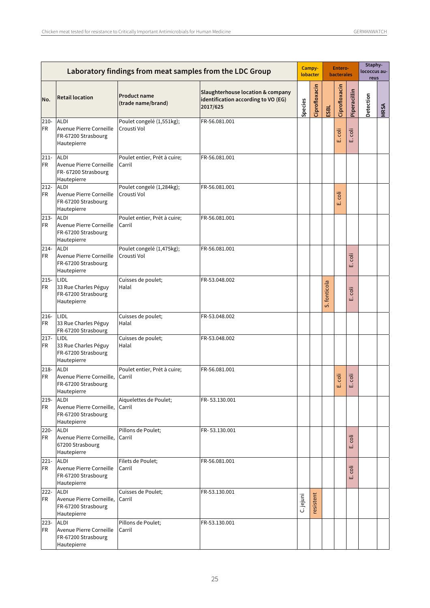|                      |                                                                               |                                           | Laboratory findings from meat samples from the LDC Group                             |           | Campy-<br>lobacter |              | Entero-<br><b>bacterales</b> |              | Staphy-<br>lococcus au-<br>reus |             |
|----------------------|-------------------------------------------------------------------------------|-------------------------------------------|--------------------------------------------------------------------------------------|-----------|--------------------|--------------|------------------------------|--------------|---------------------------------|-------------|
| No.                  | <b>Retail location</b>                                                        | <b>Product name</b><br>(trade name/brand) | Slaughterhouse location & company<br>identification according to VO (EG)<br>2017/625 | Species   | Ciprofloxacin      | ESBL         | Ciprofloxacin                | Piperacillin | Detection                       | <b>MRSA</b> |
| $210 -$<br><b>FR</b> | <b>ALDI</b><br>Avenue Pierre Corneille<br>FR-67200 Strasbourg<br>Hautepierre  | Poulet congelé (1,551kg);<br>Crousti Vol  | FR-56.081.001                                                                        |           |                    |              | coli<br>ШÌ                   | coli<br>نى   |                                 |             |
| $211 -$<br><b>FR</b> | <b>ALDI</b><br>Avenue Pierre Corneille<br>FR-67200 Strasbourg<br>Hautepierre  | Poulet entier, Prét à cuire;<br>Carril    | FR-56.081.001                                                                        |           |                    |              |                              |              |                                 |             |
| $212 -$<br><b>FR</b> | <b>ALDI</b><br>Avenue Pierre Corneille<br>FR-67200 Strasbourg<br>Hautepierre  | Poulet congelé (1,284kg);<br>Crousti Vol  | FR-56.081.001                                                                        |           |                    |              | ö<br>шi                      |              |                                 |             |
| $213-$<br><b>FR</b>  | <b>ALDI</b><br>Avenue Pierre Corneille<br>FR-67200 Strasbourg<br>Hautepierre  | Poulet entier, Prét à cuire;<br>Carril    | FR-56.081.001                                                                        |           |                    |              |                              |              |                                 |             |
| $214-$<br>FR         | <b>ALDI</b><br>Avenue Pierre Corneille<br>FR-67200 Strasbourg<br>Hautepierre  | Poulet congelé (1,475kg);<br>Crousti Vol  | FR-56.081.001                                                                        |           |                    |              |                              | coli<br>ய்   |                                 |             |
| $215 -$<br>FR        | LIDL<br>33 Rue Charles Péguy<br>FR-67200 Strasbourg<br>Hautepierre            | Cuisses de poulet;<br>Halal               | FR-53.048.002                                                                        |           |                    | S. fonticola |                              | coli<br>نى   |                                 |             |
| $216 -$<br><b>FR</b> | LIDL<br>33 Rue Charles Péguy<br>FR-67200 Strasbourg                           | Cuisses de poulet;<br>Halal               | FR-53.048.002                                                                        |           |                    |              |                              |              |                                 |             |
| $217 -$<br><b>FR</b> | LIDL<br>33 Rue Charles Péguy<br>FR-67200 Strasbourg<br>Hautepierre            | Cuisses de poulet;<br>Halal               | FR-53.048.002                                                                        |           |                    |              |                              |              |                                 |             |
| 218-<br><b>FR</b>    | <b>ALDI</b><br>Avenue Pierre Corneille,<br>FR-67200 Strasbourg<br>Hautepierre | Poulet entier, Prét à cuire;<br>Carril    | FR-56.081.001                                                                        |           |                    |              | ö<br>ш                       | coli<br>ш    |                                 |             |
| 219-<br><b>FR</b>    | <b>ALDI</b><br>Avenue Pierre Corneille,<br>FR-67200 Strasbourg<br>Hautepierre | Aiquelettes de Poulet;<br>Carril          | FR-53.130.001                                                                        |           |                    |              |                              |              |                                 |             |
| $220 -$<br><b>FR</b> | <b>ALDI</b><br>Avenue Pierre Corneille,<br>67200 Strasbourg<br>Hautepierre    | Pillons de Poulet;<br>Carril              | FR-53.130.001                                                                        |           |                    |              |                              | coli<br>ய்   |                                 |             |
| $221 -$<br><b>FR</b> | <b>ALDI</b><br>Avenue Pierre Corneille<br>FR-67200 Strasbourg<br>Hautepierre  | Filets de Poulet;<br>Carril               | FR-56.081.001                                                                        |           |                    |              |                              | coli<br>ш    |                                 |             |
| $222 -$<br>FR        | <b>ALDI</b><br>Avenue Pierre Corneille,<br>FR-67200 Strasbourg<br>Hautepierre | Cuisses de Poulet;<br>Carril              | FR-53.130.001                                                                        | C. jejuni | resistent          |              |                              |              |                                 |             |
| $223 -$<br><b>FR</b> | <b>ALDI</b><br>Avenue Pierre Corneille<br>FR-67200 Strasbourg<br>Hautepierre  | Pillons de Poulet;<br>Carril              | FR-53.130.001                                                                        |           |                    |              |                              |              |                                 |             |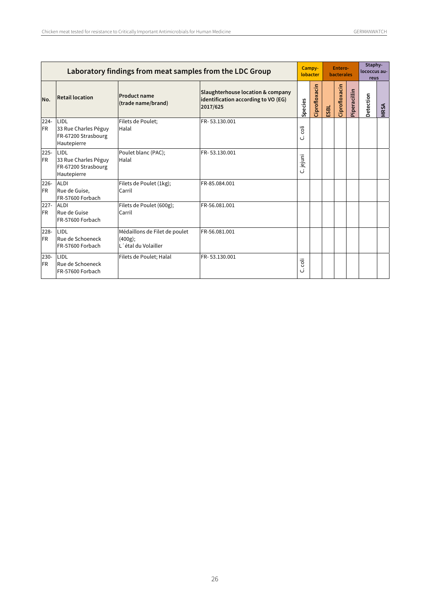|                      | Laboratory findings from meat samples from the LDC Group           |                                                                 |                                                                                      |           |               |      | Entero-<br><b>bacterales</b> |              | Staphy-<br>lococcus au-<br>reus |             |
|----------------------|--------------------------------------------------------------------|-----------------------------------------------------------------|--------------------------------------------------------------------------------------|-----------|---------------|------|------------------------------|--------------|---------------------------------|-------------|
| No.                  | <b>Retail location</b>                                             | <b>Product name</b><br>(trade name/brand)                       | Slaughterhouse location & company<br>identification according to VO (EG)<br>2017/625 | Species   | Ciprofloxacin | ESBL | Ciprofloxacin                | Piperacillin | Detection                       | <b>MRSA</b> |
| $224 -$<br><b>FR</b> | LIDL<br>33 Rue Charles Péguy<br>FR-67200 Strasbourg<br>Hautepierre | Filets de Poulet:<br>Halal                                      | FR-53.130.001                                                                        | Ξ<br>ن    |               |      |                              |              |                                 |             |
| $225 -$<br><b>FR</b> | LIDL<br>33 Rue Charles Péguy<br>FR-67200 Strasbourg<br>Hautepierre | Poulet blanc (PAC);<br>Halal                                    | FR-53.130.001                                                                        | C. jejuni |               |      |                              |              |                                 |             |
| $226 -$<br><b>FR</b> | ALDI<br>Rue de Guise,<br>FR-57600 Forbach                          | Filets de Poulet (1kg);<br>Carril                               | FR-85.084.001                                                                        |           |               |      |                              |              |                                 |             |
| $227 -$<br><b>FR</b> | <b>ALDI</b><br>Rue de Guise<br>FR-57600 Forbach                    | Filets de Poulet (600g);<br>Carril                              | FR-56.081.001                                                                        |           |               |      |                              |              |                                 |             |
| $228 -$<br><b>FR</b> | LIDL<br>Rue de Schoeneck<br>FR-57600 Forbach                       | Médaillons de Filet de poulet<br>(400g);<br>L'étal du Volailler | FR-56.081.001                                                                        |           |               |      |                              |              |                                 |             |
| $230 -$<br><b>FR</b> | LIDL<br>Rue de Schoeneck<br>FR-57600 Forbach                       | Filets de Poulet; Halal                                         | FR-53.130.001                                                                        | iic<br>ن  |               |      |                              |              |                                 |             |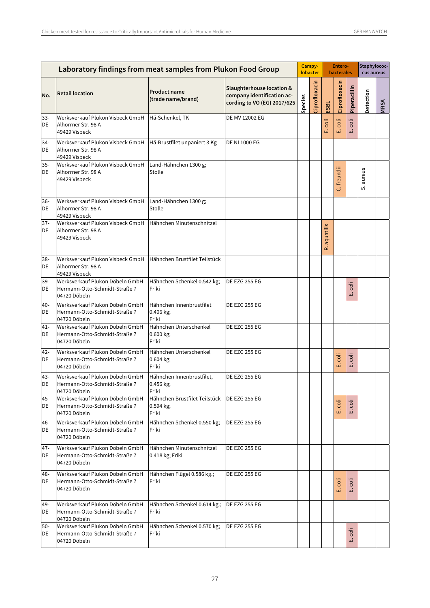|              | Laboratory findings from meat samples from Plukon Food Group                     |                                                     |                                                                                                   |         | Campy-<br>lobacter |                 | Entero-<br><b>bacterales</b> |              | Staphylococ-<br>cus aureus |             |
|--------------|----------------------------------------------------------------------------------|-----------------------------------------------------|---------------------------------------------------------------------------------------------------|---------|--------------------|-----------------|------------------------------|--------------|----------------------------|-------------|
| No.          | <b>Retail location</b>                                                           | <b>Product name</b><br>(trade name/brand)           | <b>Slaughterhouse location &amp;</b><br>company identification ac-<br>cording to VO (EG) 2017/625 | Species | Ciprofloxacin      | ESBL            | Ciprofloxacin                | Piperacillin | Detection                  | <b>MRSA</b> |
| $33 -$<br>DE | Werksverkauf Plukon Visbeck GmbH<br>Alhorrner Str. 98 A<br>49429 Visbeck         | Hä-Schenkel, TK                                     | DE MV 12002 EG                                                                                    |         |                    | coli<br>نى      | coli<br>Ш                    | coli<br>ші   |                            |             |
| 34-<br>DE    | Werksverkauf Plukon Visbeck GmbH<br>Alhorrner Str. 98 A<br>49429 Visbeck         | Hä-Brustfilet unpaniert 3 Kg                        | <b>DE NI 1000 EG</b>                                                                              |         |                    |                 |                              |              |                            |             |
| 35-<br>DE    | Werksverkauf Plukon Visbeck GmbH<br>Alhorrner Str. 98 A<br>49429 Visbeck         | Land-Hähnchen 1300 g;<br>Stolle                     |                                                                                                   |         |                    |                 | C. freundii                  |              | S. aureus                  |             |
| 36-<br>DE    | Werksverkauf Plukon Visbeck GmbH<br>Alhorrner Str. 98 A<br>49429 Visbeck         | Land-Hähnchen 1300 g;<br>Stolle                     |                                                                                                   |         |                    |                 |                              |              |                            |             |
| $37 -$<br>DE | Werksverkauf Plukon Visbeck GmbH<br>Alhorrner Str. 98 A<br>49429 Visbeck         | Hähnchen Minutenschnitzel                           |                                                                                                   |         |                    | aquatilis<br>غە |                              |              |                            |             |
| 38-<br>DE    | Werksverkauf Plukon Visbeck GmbH<br>Alhorrner Str. 98 A<br>49429 Visbeck         | Hähnchen Brustfilet Teilstück                       |                                                                                                   |         |                    |                 |                              |              |                            |             |
| 39-<br>DE    | Werksverkauf Plukon Döbeln GmbH<br>Hermann-Otto-Schmidt-Straße 7<br>04720 Döbeln | Hähnchen Schenkel 0.542 kg;<br>Friki                | <b>DE EZG 255 EG</b>                                                                              |         |                    |                 |                              | coli<br>щі   |                            |             |
| 40-<br>DE    | Werksverkauf Plukon Döbeln GmbH<br>Hermann-Otto-Schmidt-Straße 7<br>04720 Döbeln | Hähnchen Innenbrustfilet<br>0.406 kg;<br>Friki      | <b>DE EZG 255 EG</b>                                                                              |         |                    |                 |                              |              |                            |             |
| $41 -$<br>DE | Werksverkauf Plukon Döbeln GmbH<br>Hermann-Otto-Schmidt-Straße 7<br>04720 Döbeln | Hähnchen Unterschenkel<br>0.600 kg;<br>Friki        | <b>DE EZG 255 EG</b>                                                                              |         |                    |                 |                              |              |                            |             |
| 42-<br>DE    | Werksverkauf Plukon Döbeln GmbH<br>Hermann-Otto-Schmidt-Straße 7<br>04720 Döbeln | Hähnchen Unterschenkel<br>0.604 kg;<br>Friki        | <b>DE EZG 255 EG</b>                                                                              |         |                    |                 | coli<br>шi                   | coli<br>щі   |                            |             |
| 43-<br>DE    | Werksverkauf Plukon Döbeln GmbH<br>Hermann-Otto-Schmidt-Straße 7<br>04720 Döbeln | Hähnchen Innenbrustfilet,<br>0.456 kg;<br>Friki     | <b>DE EZG 255 EG</b>                                                                              |         |                    |                 |                              |              |                            |             |
| 45-<br>DE    | Werksverkauf Plukon Döbeln GmbH<br>Hermann-Otto-Schmidt-Straße 7<br>04720 Döbeln | Hähnchen Brustfilet Teilstück<br>0.594 kg;<br>Friki | DE EZG 255 EG                                                                                     |         |                    |                 | E. coli                      | coli<br>ய்   |                            |             |
| 46-<br>DE    | Werksverkauf Plukon Döbeln GmbH<br>Hermann-Otto-Schmidt-Straße 7<br>04720 Döbeln | Hähnchen Schenkel 0.550 kg;<br>Friki                | <b>DE EZG 255 EG</b>                                                                              |         |                    |                 |                              |              |                            |             |
| $47 -$<br>DE | Werksverkauf Plukon Döbeln GmbH<br>Hermann-Otto-Schmidt-Straße 7<br>04720 Döbeln | Hähnchen Minutenschnitzel<br>0.418 kg; Friki        | <b>DE EZG 255 EG</b>                                                                              |         |                    |                 |                              |              |                            |             |
| 48-<br>DE    | Werksverkauf Plukon Döbeln GmbH<br>Hermann-Otto-Schmidt-Straße 7<br>04720 Döbeln | Hähnchen Flügel 0.586 kg.;<br>Friki                 | <b>DE EZG 255 EG</b>                                                                              |         |                    |                 | coli<br>шì                   | coli<br>ய்   |                            |             |
| 49-<br>DE    | Werksverkauf Plukon Döbeln GmbH<br>Hermann-Otto-Schmidt-Straße 7<br>04720 Döbeln | Hähnchen Schenkel 0.614 kg.;<br>Friki               | DE EZG 255 EG                                                                                     |         |                    |                 |                              |              |                            |             |
| $50 -$<br>DE | Werksverkauf Plukon Döbeln GmbH<br>Hermann-Otto-Schmidt-Straße 7<br>04720 Döbeln | Hähnchen Schenkel 0.570 kg;<br>Friki                | <b>DE EZG 255 EG</b>                                                                              |         |                    |                 |                              | coli<br>щi   |                            |             |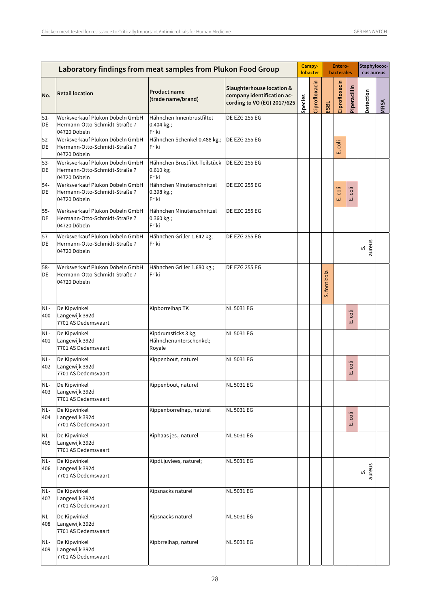| Laboratory findings from meat samples from Plukon Food Group |                                                                                  |                                                         |                                                                                                   |         | Campy-<br>lobacter |              | Entero-<br><b>bacterales</b> |              | Staphylococ-<br>cus aureus |             |
|--------------------------------------------------------------|----------------------------------------------------------------------------------|---------------------------------------------------------|---------------------------------------------------------------------------------------------------|---------|--------------------|--------------|------------------------------|--------------|----------------------------|-------------|
| No.                                                          | <b>Retail location</b>                                                           | <b>Product name</b><br>(trade name/brand)               | <b>Slaughterhouse location &amp;</b><br>company identification ac-<br>cording to VO (EG) 2017/625 | Species | Ciprofloxacin      | ESBL         | Ciprofloxacin                | Piperacillin | Detection                  | <b>NRSA</b> |
| $51 -$<br>DE                                                 | Werksverkauf Plukon Döbeln GmbH<br>Hermann-Otto-Schmidt-Straße 7<br>04720 Döbeln | Hähnchen Innenbrustfiltet<br>0.404 kg.;<br>Friki        | <b>DE EZG 255 EG</b>                                                                              |         |                    |              |                              |              |                            |             |
| $52-$<br>DE                                                  | Werksverkauf Plukon Döbeln GmbH<br>Hermann-Otto-Schmidt-Straße 7<br>04720 Döbeln | Hähnchen Schenkel 0.488 kg.;<br>Friki                   | <b>DE EZG 255 EG</b>                                                                              |         |                    |              | coli<br>ШÏ                   |              |                            |             |
| $53 -$<br>DE                                                 | Werksverkauf Plukon Döbeln GmbH<br>Hermann-Otto-Schmidt-Straße 7<br>04720 Döbeln | Hähnchen Brustfilet-Teilstück<br>0.610 kg;<br>Friki     | <b>DE EZG 255 EG</b>                                                                              |         |                    |              |                              |              |                            |             |
| $54-$<br>DE                                                  | Werksverkauf Plukon Döbeln GmbH<br>Hermann-Otto-Schmidt-Straße 7<br>04720 Döbeln | Hähnchen Minutenschnitzel<br>0.398 kg.;<br>Friki        | <b>DE EZG 255 EG</b>                                                                              |         |                    |              | coli<br>ШÌ                   | coli<br>نى   |                            |             |
| $55-$<br>DE                                                  | Werksverkauf Plukon Döbeln GmbH<br>Hermann-Otto-Schmidt-Straße 7<br>04720 Döbeln | Hähnchen Minutenschnitzel<br>0.360 kg.;<br>Friki        | <b>DE EZG 255 EG</b>                                                                              |         |                    |              |                              |              |                            |             |
| $57-$<br>DE                                                  | Werksverkauf Plukon Döbeln GmbH<br>Hermann-Otto-Schmidt-Straße 7<br>04720 Döbeln | Hähnchen Griller 1.642 kg;<br>Friki                     | <b>DE EZG 255 EG</b>                                                                              |         |                    |              |                              |              | aureus<br>vi               |             |
| 58-<br>DE                                                    | Werksverkauf Plukon Döbeln GmbH<br>Hermann-Otto-Schmidt-Straße 7<br>04720 Döbeln | Hähnchen Griller 1.680 kg.;<br>Friki                    | <b>DE EZG 255 EG</b>                                                                              |         |                    | S. fonticola |                              |              |                            |             |
| NL-<br>400                                                   | De Kipwinkel<br>Langewijk 392d<br>7701 AS Dedemsvaart                            | Kipborrelhap TK                                         | <b>NL 5031 EG</b>                                                                                 |         |                    |              |                              | coli<br>ші   |                            |             |
| NL-<br>401                                                   | De Kipwinkel<br>Langewijk 392d<br>7701 AS Dedemsvaart                            | Kipdrumsticks 3 kg,<br>Hähnchenunterschenkel;<br>Royale | <b>NL 5031 EG</b>                                                                                 |         |                    |              |                              |              |                            |             |
| NL-<br>402                                                   | De Kipwinkel<br>Langewijk 392d<br>7701 AS Dedemsvaart                            | Kippenbout, naturel                                     | <b>NL 5031 EG</b>                                                                                 |         |                    |              |                              | coli<br>ШÌ   |                            |             |
| 403                                                          | NL- De Kipwinkel<br>Langewijk 392d<br>7701 AS Dedemsvaart                        | Kippenbout, naturel                                     | <b>NL 5031 EG</b>                                                                                 |         |                    |              |                              |              |                            |             |
| NL-<br>404                                                   | De Kipwinkel<br>Langewijk 392d<br>7701 AS Dedemsvaart                            | Kippenborrelhap, naturel                                | <b>NL 5031 EG</b>                                                                                 |         |                    |              |                              | coli<br>Ш    |                            |             |
| NL-<br>405                                                   | De Kipwinkel<br>Langewijk 392d<br>7701 AS Dedemsvaart                            | Kiphaas jes., naturel                                   | <b>NL 5031 EG</b>                                                                                 |         |                    |              |                              |              |                            |             |
| NL-<br>406                                                   | De Kipwinkel<br>Langewijk 392d<br>7701 AS Dedemsvaart                            | Kipdi.juvlees, naturel;                                 | <b>NL 5031 EG</b>                                                                                 |         |                    |              |                              |              | aureus<br>vi               |             |
| NL-<br>407                                                   | De Kipwinkel<br>Langewijk 392d<br>7701 AS Dedemsvaart                            | Kipsnacks naturel                                       | <b>NL 5031 EG</b>                                                                                 |         |                    |              |                              |              |                            |             |
| NL-<br>408                                                   | De Kipwinkel<br>Langewijk 392d<br>7701 AS Dedemsvaart                            | Kipsnacks naturel                                       | <b>NL 5031 EG</b>                                                                                 |         |                    |              |                              |              |                            |             |
| NL-<br>409                                                   | De Kipwinkel<br>Langewijk 392d<br>7701 AS Dedemsvaart                            | Kipbrrelhap, naturel                                    | NL 5031 EG                                                                                        |         |                    |              |                              |              |                            |             |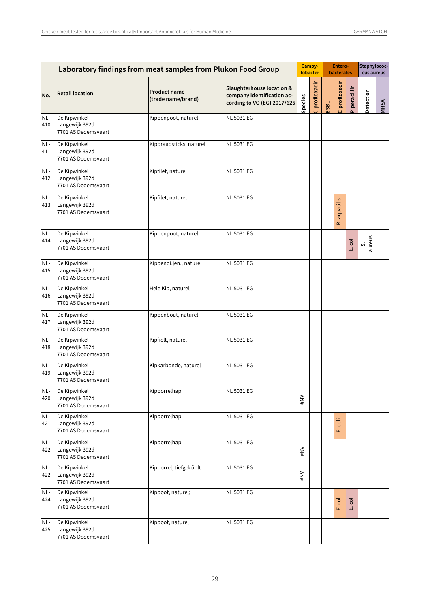|              |                                                       |                                           | Laboratory findings from meat samples from Plukon Food Group                                      |         | Campy-<br>lobacter |      | Entero-<br><b>bacterales</b> |              | Staphylococ-<br>cus aureus |      |
|--------------|-------------------------------------------------------|-------------------------------------------|---------------------------------------------------------------------------------------------------|---------|--------------------|------|------------------------------|--------------|----------------------------|------|
| No.          | <b>Retail location</b>                                | <b>Product name</b><br>(trade name/brand) | <b>Slaughterhouse location &amp;</b><br>company identification ac-<br>cording to VO (EG) 2017/625 | Species | Ciprofloxacin      | ESBL | Ciprofloxacin                | Piperacillin | Detection                  | MRSA |
| NL-<br>410   | De Kipwinkel<br>Langewijk 392d<br>7701 AS Dedemsvaart | Kippenpoot, naturel                       | <b>NL 5031 EG</b>                                                                                 |         |                    |      |                              |              |                            |      |
| NL-<br>411   | De Kipwinkel<br>Langewijk 392d<br>7701 AS Dedemsvaart | Kipbraadsticks, naturel                   | <b>NL 5031 EG</b>                                                                                 |         |                    |      |                              |              |                            |      |
| NL-<br>412   | De Kipwinkel<br>Langewijk 392d<br>7701 AS Dedemsvaart | Kipfilet, naturel                         | <b>NL 5031 EG</b>                                                                                 |         |                    |      |                              |              |                            |      |
| NL-<br>413   | De Kipwinkel<br>Langewijk 392d<br>7701 AS Dedemsvaart | Kipfilet, naturel                         | <b>NL 5031 EG</b>                                                                                 |         |                    |      | aquatilis<br>œ               |              |                            |      |
| NL-<br>414   | De Kipwinkel<br>Langewijk 392d<br>7701 AS Dedemsvaart | Kippenpoot, naturel                       | <b>NL 5031 EG</b>                                                                                 |         |                    |      |                              | coli<br>ШÌ   | aureus<br>vi               |      |
| NL-<br>415   | De Kipwinkel<br>Langewijk 392d<br>7701 AS Dedemsvaart | Kippendi.jen., naturel                    | <b>NL 5031 EG</b>                                                                                 |         |                    |      |                              |              |                            |      |
| NL-<br>416   | De Kipwinkel<br>Langewijk 392d<br>7701 AS Dedemsvaart | Hele Kip, naturel                         | <b>NL 5031 EG</b>                                                                                 |         |                    |      |                              |              |                            |      |
| NL-<br>417   | De Kipwinkel<br>Langewijk 392d<br>7701 AS Dedemsvaart | Kippenbout, naturel                       | <b>NL 5031 EG</b>                                                                                 |         |                    |      |                              |              |                            |      |
| NL-<br>418   | De Kipwinkel<br>Langewijk 392d<br>7701 AS Dedemsvaart | Kipfielt, naturel                         | <b>NL 5031 EG</b>                                                                                 |         |                    |      |                              |              |                            |      |
| NL-<br>419   | De Kipwinkel<br>Langewijk 392d<br>7701 AS Dedemsvaart | Kipkarbonde, naturel                      | <b>NL 5031 EG</b>                                                                                 |         |                    |      |                              |              |                            |      |
| $NL-$<br>420 | De Kipwinkel<br>Langewijk 392d<br>7701 AS Dedemsvaart | Kipborrelhap                              | NL 5031 EG                                                                                        | $\geq$  |                    |      |                              |              |                            |      |
| NL-<br>421   | De Kipwinkel<br>Langewijk 392d<br>7701 AS Dedemsvaart | Kipborrelhap                              | <b>NL 5031 EG</b>                                                                                 |         |                    |      | coli<br>щĹ                   |              |                            |      |
| NL-<br>422   | De Kipwinkel<br>Langewijk 392d<br>7701 AS Dedemsvaart | Kipborrelhap                              | NL 5031 EG                                                                                        | $\geq$  |                    |      |                              |              |                            |      |
| NL-<br>422   | De Kipwinkel<br>Langewijk 392d<br>7701 AS Dedemsvaart | Kipborrel, tiefgekühlt                    | NL 5031 EG                                                                                        | $\geq$  |                    |      |                              |              |                            |      |
| NL-<br>424   | De Kipwinkel<br>Langewijk 392d<br>7701 AS Dedemsvaart | Kippoot, naturel;                         | <b>NL 5031 EG</b>                                                                                 |         |                    |      | E. coli                      | coli<br>ШÏ   |                            |      |
| NL-<br>425   | De Kipwinkel<br>Langewijk 392d<br>7701 AS Dedemsvaart | Kippoot, naturel                          | NL 5031 EG                                                                                        |         |                    |      |                              |              |                            |      |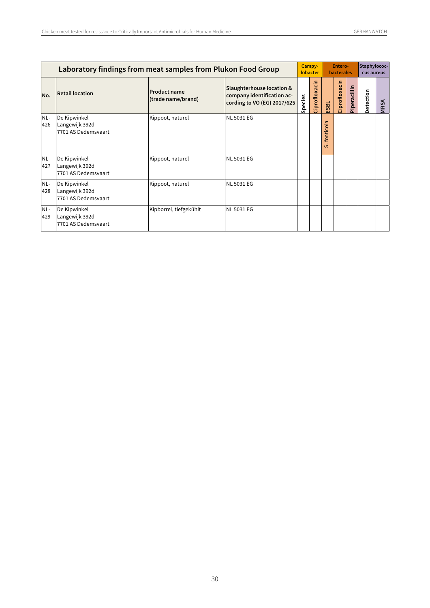|            | Campy-<br>Laboratory findings from meat samples from Plukon Food Group<br>lobacter |                                           |                                                                                        |         |               | Entero-<br><b>bacterales</b> |               |              | Staphylococ-<br>cus aureus |             |
|------------|------------------------------------------------------------------------------------|-------------------------------------------|----------------------------------------------------------------------------------------|---------|---------------|------------------------------|---------------|--------------|----------------------------|-------------|
| No.        | <b>Retail location</b>                                                             | <b>Product name</b><br>(trade name/brand) | Slaughterhouse location &<br>company identification ac-<br>cording to VO (EG) 2017/625 | Species | Ciprofloxacin | ESBL                         | Ciprofloxacin | Piperacillin | Detection                  | <b>MRSA</b> |
| NL-<br>426 | De Kipwinkel<br>Langewijk 392d<br>7701 AS Dedemsvaart                              | Kippoot, naturel                          | <b>NL 5031 EG</b>                                                                      |         |               | fonticola<br>$\mathfrak o$   |               |              |                            |             |
| NL-<br>427 | De Kipwinkel<br>Langewijk 392d<br>7701 AS Dedemsvaart                              | Kippoot, naturel                          | <b>NL 5031 EG</b>                                                                      |         |               |                              |               |              |                            |             |
| NL-<br>428 | De Kipwinkel<br>Langewijk 392d<br>7701 AS Dedemsvaart                              | Kippoot, naturel                          | <b>NL 5031 EG</b>                                                                      |         |               |                              |               |              |                            |             |
| NL-<br>429 | De Kipwinkel<br>Langewijk 392d<br>7701 AS Dedemsvaart                              | Kipborrel, tiefgekühlt                    | <b>NL 5031 EG</b>                                                                      |         |               |                              |               |              |                            |             |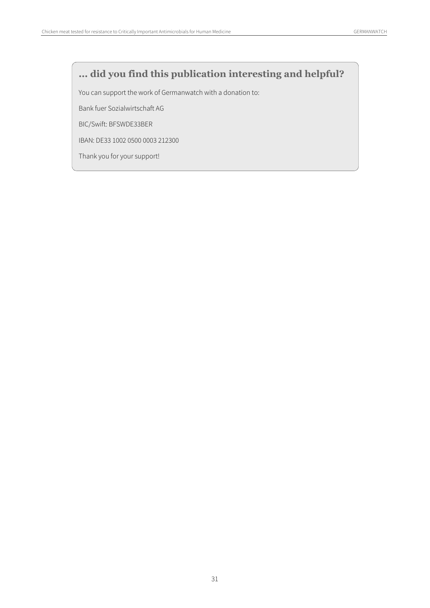### **... did you find this publication interesting and helpful?**

You can support the work of Germanwatch with a donation to:

Bank fuer Sozialwirtschaft AG

BIC/Swift: BFSWDE33BER

IBAN: DE33 1002 0500 0003 212300

Thank you for your support!